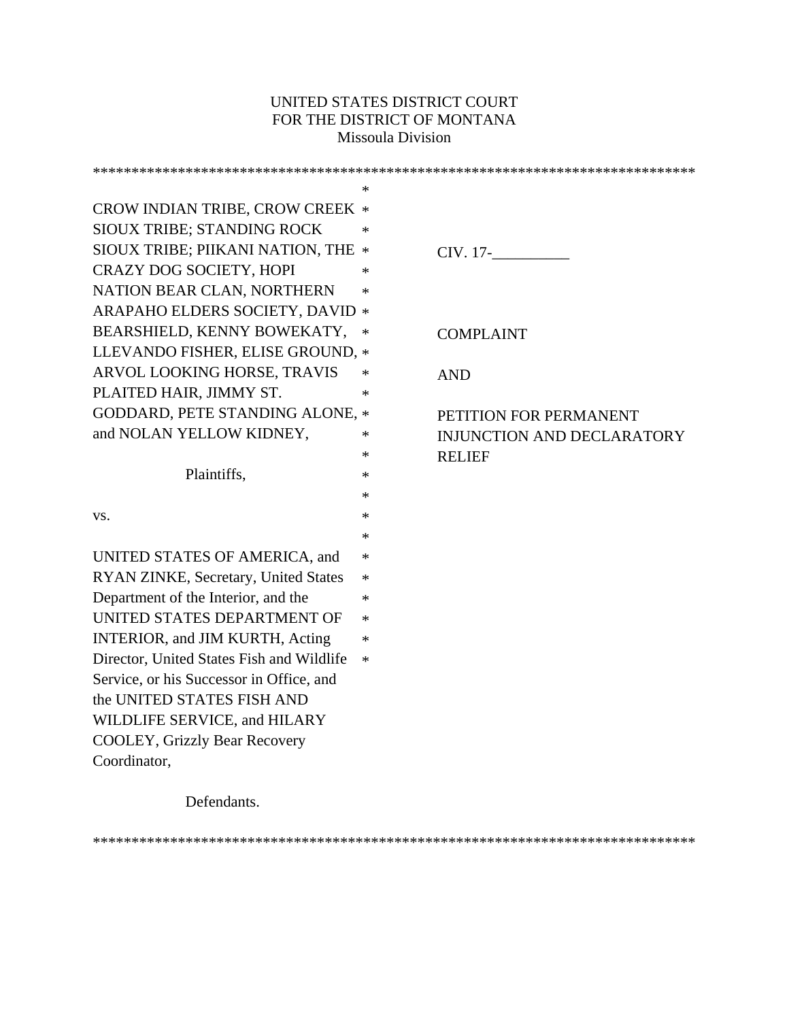# UNITED STATES DISTRICT COURT FOR THE DISTRICT OF MONTANA Missoula Division

|                                           | $\ast$ |                                   |
|-------------------------------------------|--------|-----------------------------------|
| CROW INDIAN TRIBE, CROW CREEK *           |        |                                   |
| SIOUX TRIBE; STANDING ROCK                | $\ast$ |                                   |
| SIOUX TRIBE; PIIKANI NATION, THE *        |        | CIV. 17-                          |
| <b>CRAZY DOG SOCIETY, HOPI</b>            | $\ast$ |                                   |
| NATION BEAR CLAN, NORTHERN                | ∗      |                                   |
| ARAPAHO ELDERS SOCIETY, DAVID *           |        |                                   |
| BEARSHIELD, KENNY BOWEKATY,               | ∗      | <b>COMPLAINT</b>                  |
| LLEVANDO FISHER, ELISE GROUND, *          |        |                                   |
| ARVOL LOOKING HORSE, TRAVIS               | $\ast$ | <b>AND</b>                        |
| PLAITED HAIR, JIMMY ST.                   | ∗      |                                   |
| <b>GODDARD, PETE STANDING ALONE, *</b>    |        | PETITION FOR PERMANENT            |
| and NOLAN YELLOW KIDNEY,                  | ∗      | <b>INJUNCTION AND DECLARATORY</b> |
|                                           | *      | <b>RELIEF</b>                     |
| Plaintiffs,                               | ∗      |                                   |
|                                           | ∗      |                                   |
| VS.                                       | ∗      |                                   |
|                                           | ∗      |                                   |
| UNITED STATES OF AMERICA, and             | ∗      |                                   |
| RYAN ZINKE, Secretary, United States      | $\ast$ |                                   |
| Department of the Interior, and the       | ∗      |                                   |
| UNITED STATES DEPARTMENT OF               | $\ast$ |                                   |
| INTERIOR, and JIM KURTH, Acting           | $\ast$ |                                   |
| Director, United States Fish and Wildlife | $\ast$ |                                   |
| Service, or his Successor in Office, and  |        |                                   |
| the UNITED STATES FISH AND                |        |                                   |
| WILDLIFE SERVICE, and HILARY              |        |                                   |
| <b>COOLEY, Grizzly Bear Recovery</b>      |        |                                   |
| Coordinator,                              |        |                                   |
|                                           |        |                                   |

Defendants.

\*\*\*\*\*\*\*\*\*\*\*\*\*\*\*\*\*\*\*\*\*\*\*\*\*\*\*\*\*\*\*\*\*\*\*\*\*\*\*\*\*\*\*\*\*\*\*\*\*\*\*\*\*\*\*\*\*\*\*\*\*\*\*\*\*\*\*\*\*\*\*\*\*\*\*\*\*\*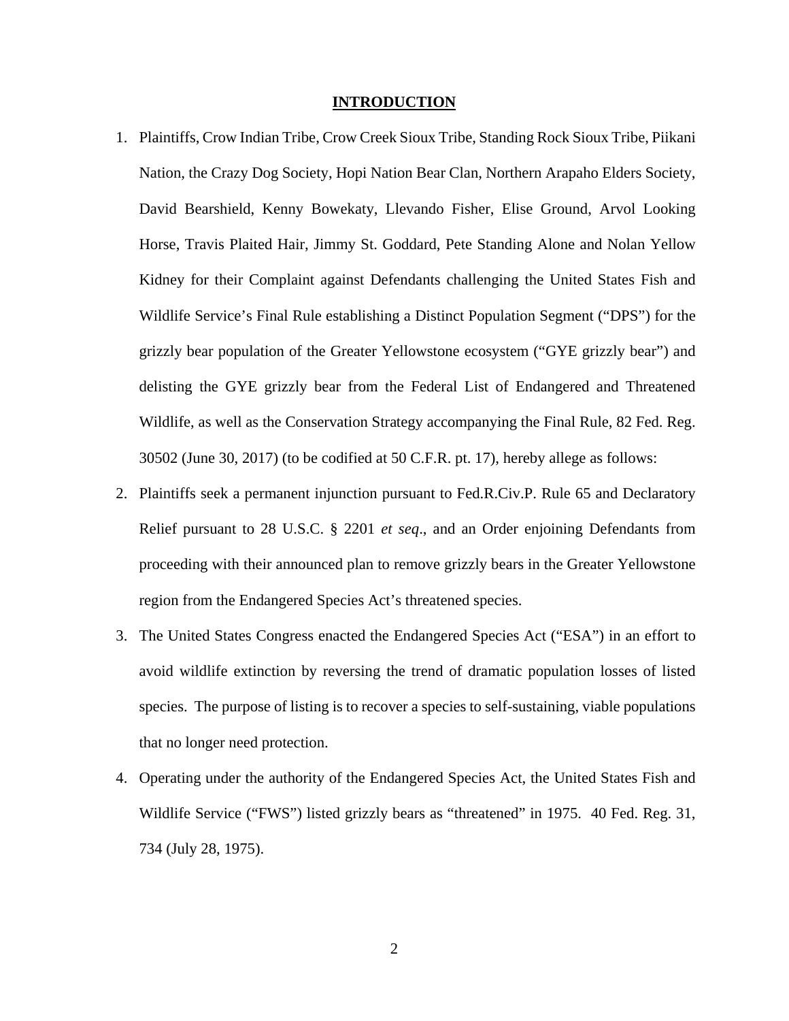#### **INTRODUCTION**

- 1. Plaintiffs, Crow Indian Tribe, Crow Creek Sioux Tribe, Standing Rock Sioux Tribe, Piikani Nation, the Crazy Dog Society, Hopi Nation Bear Clan, Northern Arapaho Elders Society, David Bearshield, Kenny Bowekaty, Llevando Fisher, Elise Ground, Arvol Looking Horse, Travis Plaited Hair, Jimmy St. Goddard, Pete Standing Alone and Nolan Yellow Kidney for their Complaint against Defendants challenging the United States Fish and Wildlife Service's Final Rule establishing a Distinct Population Segment ("DPS") for the grizzly bear population of the Greater Yellowstone ecosystem ("GYE grizzly bear") and delisting the GYE grizzly bear from the Federal List of Endangered and Threatened Wildlife, as well as the Conservation Strategy accompanying the Final Rule, 82 Fed. Reg. 30502 (June 30, 2017) (to be codified at 50 C.F.R. pt. 17), hereby allege as follows:
- 2. Plaintiffs seek a permanent injunction pursuant to Fed.R.Civ.P. Rule 65 and Declaratory Relief pursuant to 28 U.S.C. § 2201 *et seq*., and an Order enjoining Defendants from proceeding with their announced plan to remove grizzly bears in the Greater Yellowstone region from the Endangered Species Act's threatened species.
- 3. The United States Congress enacted the Endangered Species Act ("ESA") in an effort to avoid wildlife extinction by reversing the trend of dramatic population losses of listed species. The purpose of listing is to recover a species to self-sustaining, viable populations that no longer need protection.
- 4. Operating under the authority of the Endangered Species Act, the United States Fish and Wildlife Service ("FWS") listed grizzly bears as "threatened" in 1975. 40 Fed. Reg. 31, 734 (July 28, 1975).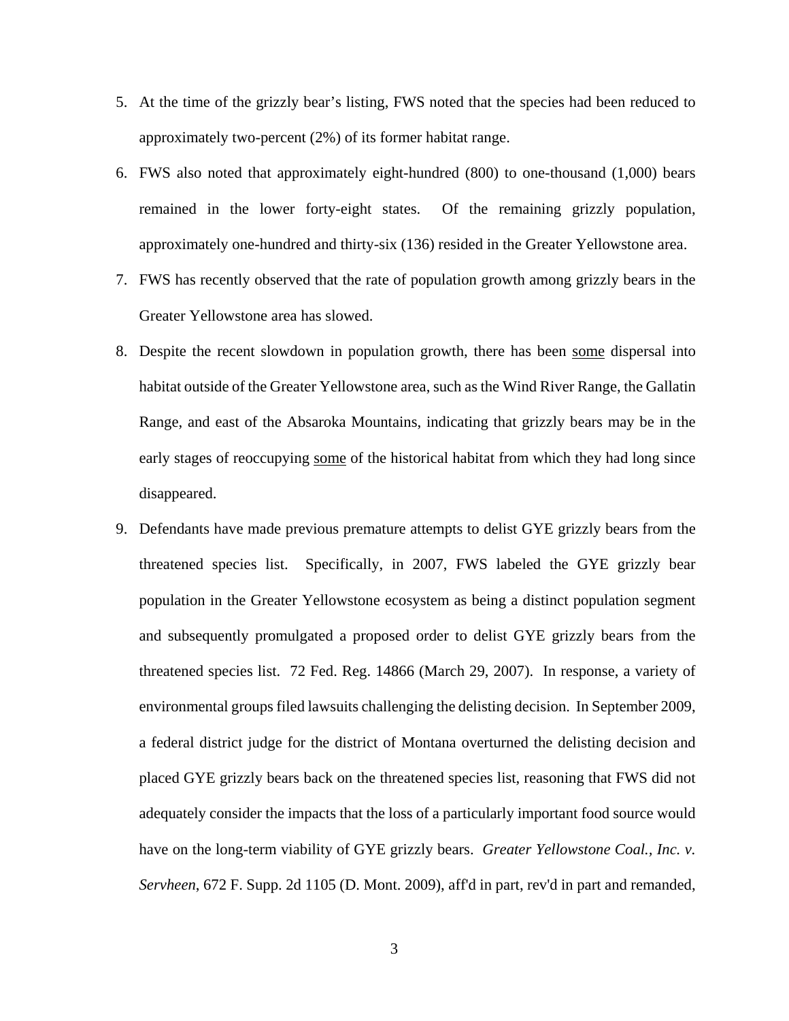- 5. At the time of the grizzly bear's listing, FWS noted that the species had been reduced to approximately two-percent (2%) of its former habitat range.
- 6. FWS also noted that approximately eight-hundred (800) to one-thousand (1,000) bears remained in the lower forty-eight states. Of the remaining grizzly population, approximately one-hundred and thirty-six (136) resided in the Greater Yellowstone area.
- 7. FWS has recently observed that the rate of population growth among grizzly bears in the Greater Yellowstone area has slowed.
- 8. Despite the recent slowdown in population growth, there has been some dispersal into habitat outside of the Greater Yellowstone area, such as the Wind River Range, the Gallatin Range, and east of the Absaroka Mountains, indicating that grizzly bears may be in the early stages of reoccupying some of the historical habitat from which they had long since disappeared.
- 9. Defendants have made previous premature attempts to delist GYE grizzly bears from the threatened species list. Specifically, in 2007, FWS labeled the GYE grizzly bear population in the Greater Yellowstone ecosystem as being a distinct population segment and subsequently promulgated a proposed order to delist GYE grizzly bears from the threatened species list. 72 Fed. Reg. 14866 (March 29, 2007). In response, a variety of environmental groups filed lawsuits challenging the delisting decision. In September 2009, a federal district judge for the district of Montana overturned the delisting decision and placed GYE grizzly bears back on the threatened species list, reasoning that FWS did not adequately consider the impacts that the loss of a particularly important food source would have on the long-term viability of GYE grizzly bears. *Greater Yellowstone Coal., Inc. v. Servheen*, 672 F. Supp. 2d 1105 (D. Mont. 2009), aff'd in part, rev'd in part and remanded,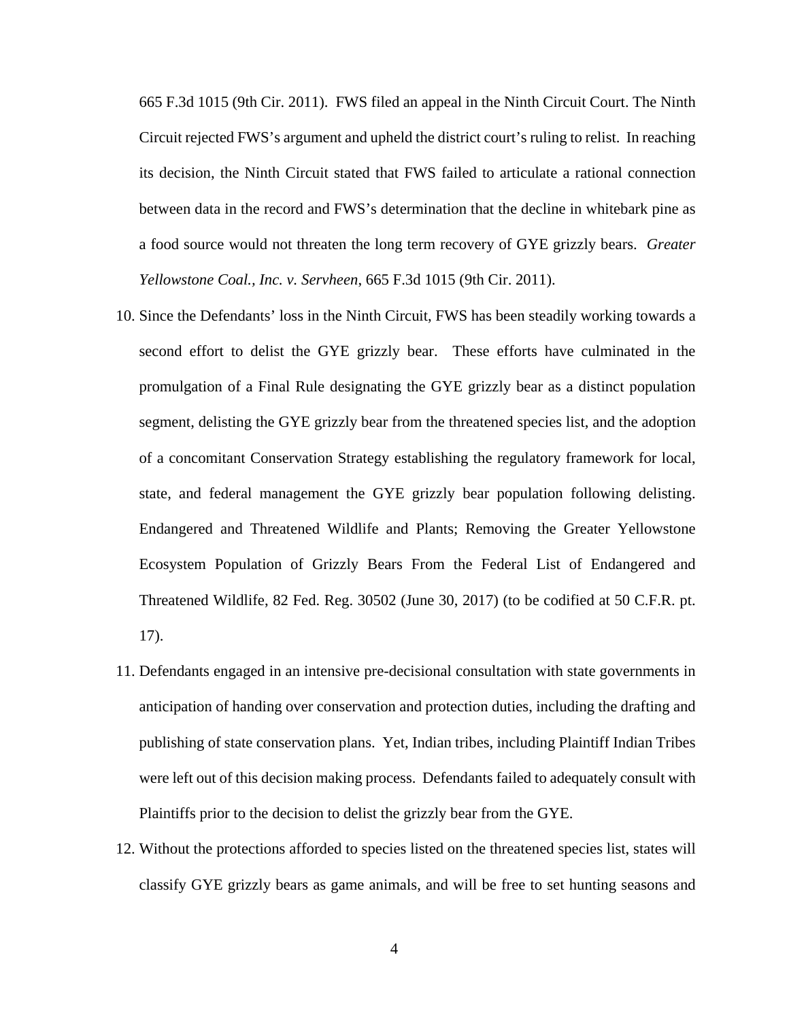665 F.3d 1015 (9th Cir. 2011). FWS filed an appeal in the Ninth Circuit Court. The Ninth Circuit rejected FWS's argument and upheld the district court's ruling to relist. In reaching its decision, the Ninth Circuit stated that FWS failed to articulate a rational connection between data in the record and FWS's determination that the decline in whitebark pine as a food source would not threaten the long term recovery of GYE grizzly bears. *Greater Yellowstone Coal., Inc. v. Servheen*, 665 F.3d 1015 (9th Cir. 2011).

- 10. Since the Defendants' loss in the Ninth Circuit, FWS has been steadily working towards a second effort to delist the GYE grizzly bear. These efforts have culminated in the promulgation of a Final Rule designating the GYE grizzly bear as a distinct population segment, delisting the GYE grizzly bear from the threatened species list, and the adoption of a concomitant Conservation Strategy establishing the regulatory framework for local, state, and federal management the GYE grizzly bear population following delisting. Endangered and Threatened Wildlife and Plants; Removing the Greater Yellowstone Ecosystem Population of Grizzly Bears From the Federal List of Endangered and Threatened Wildlife, 82 Fed. Reg. 30502 (June 30, 2017) (to be codified at 50 C.F.R. pt. 17).
- 11. Defendants engaged in an intensive pre-decisional consultation with state governments in anticipation of handing over conservation and protection duties, including the drafting and publishing of state conservation plans. Yet, Indian tribes, including Plaintiff Indian Tribes were left out of this decision making process. Defendants failed to adequately consult with Plaintiffs prior to the decision to delist the grizzly bear from the GYE.
- 12. Without the protections afforded to species listed on the threatened species list, states will classify GYE grizzly bears as game animals, and will be free to set hunting seasons and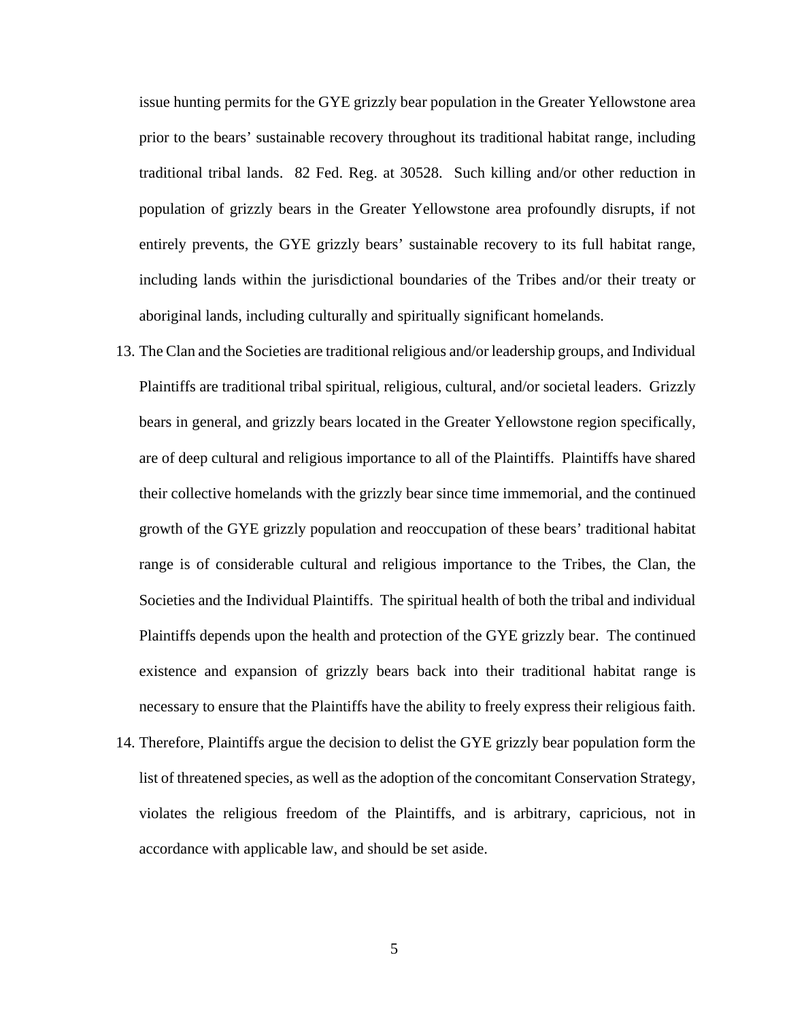issue hunting permits for the GYE grizzly bear population in the Greater Yellowstone area prior to the bears' sustainable recovery throughout its traditional habitat range, including traditional tribal lands. 82 Fed. Reg. at 30528. Such killing and/or other reduction in population of grizzly bears in the Greater Yellowstone area profoundly disrupts, if not entirely prevents, the GYE grizzly bears' sustainable recovery to its full habitat range, including lands within the jurisdictional boundaries of the Tribes and/or their treaty or aboriginal lands, including culturally and spiritually significant homelands.

- 13. The Clan and the Societies are traditional religious and/or leadership groups, and Individual Plaintiffs are traditional tribal spiritual, religious, cultural, and/or societal leaders. Grizzly bears in general, and grizzly bears located in the Greater Yellowstone region specifically, are of deep cultural and religious importance to all of the Plaintiffs. Plaintiffs have shared their collective homelands with the grizzly bear since time immemorial, and the continued growth of the GYE grizzly population and reoccupation of these bears' traditional habitat range is of considerable cultural and religious importance to the Tribes, the Clan, the Societies and the Individual Plaintiffs. The spiritual health of both the tribal and individual Plaintiffs depends upon the health and protection of the GYE grizzly bear. The continued existence and expansion of grizzly bears back into their traditional habitat range is necessary to ensure that the Plaintiffs have the ability to freely express their religious faith.
- 14. Therefore, Plaintiffs argue the decision to delist the GYE grizzly bear population form the list of threatened species, as well as the adoption of the concomitant Conservation Strategy, violates the religious freedom of the Plaintiffs, and is arbitrary, capricious, not in accordance with applicable law, and should be set aside.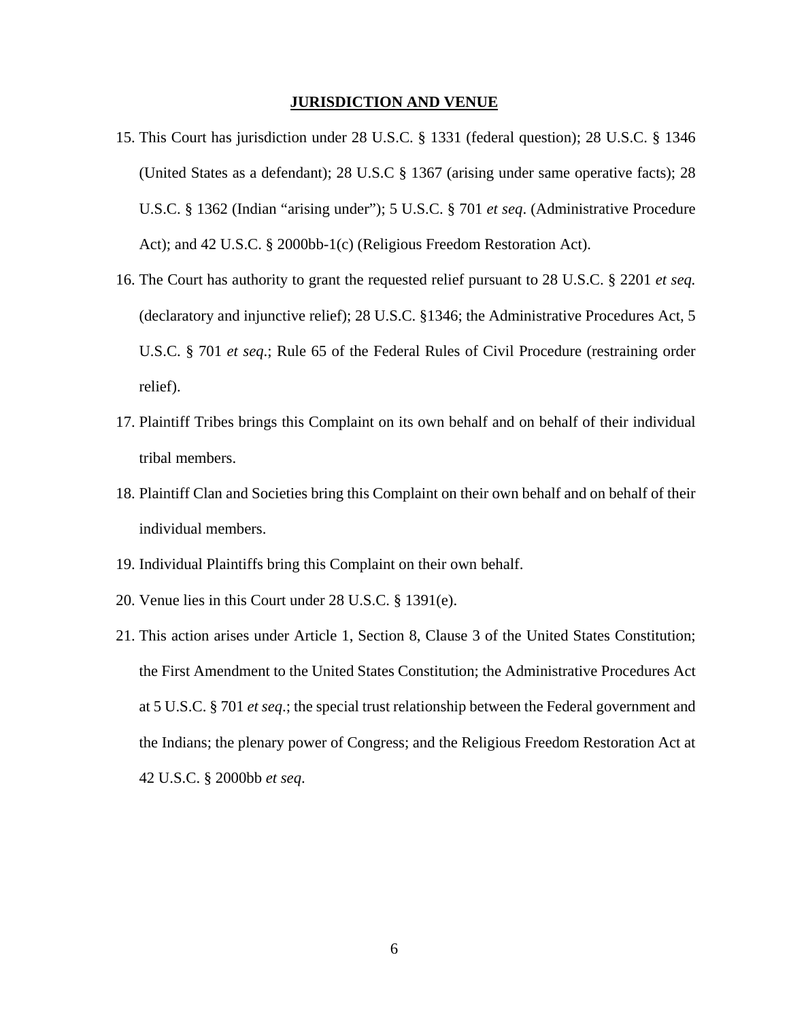#### **JURISDICTION AND VENUE**

- 15. This Court has jurisdiction under 28 U.S.C. § 1331 (federal question); 28 U.S.C. § 1346 (United States as a defendant); 28 U.S.C § 1367 (arising under same operative facts); 28 U.S.C. § 1362 (Indian "arising under"); 5 U.S.C. § 701 *et seq*. (Administrative Procedure Act); and 42 U.S.C. § 2000bb-1(c) (Religious Freedom Restoration Act).
- 16. The Court has authority to grant the requested relief pursuant to 28 U.S.C. § 2201 *et seq.* (declaratory and injunctive relief); 28 U.S.C. §1346; the Administrative Procedures Act, 5 U.S.C. § 701 *et seq*.; Rule 65 of the Federal Rules of Civil Procedure (restraining order relief).
- 17. Plaintiff Tribes brings this Complaint on its own behalf and on behalf of their individual tribal members.
- 18. Plaintiff Clan and Societies bring this Complaint on their own behalf and on behalf of their individual members.
- 19. Individual Plaintiffs bring this Complaint on their own behalf.
- 20. Venue lies in this Court under 28 U.S.C. § 1391(e).
- 21. This action arises under Article 1, Section 8, Clause 3 of the United States Constitution; the First Amendment to the United States Constitution; the Administrative Procedures Act at 5 U.S.C. § 701 *et seq*.; the special trust relationship between the Federal government and the Indians; the plenary power of Congress; and the Religious Freedom Restoration Act at 42 U.S.C. § 2000bb *et seq*.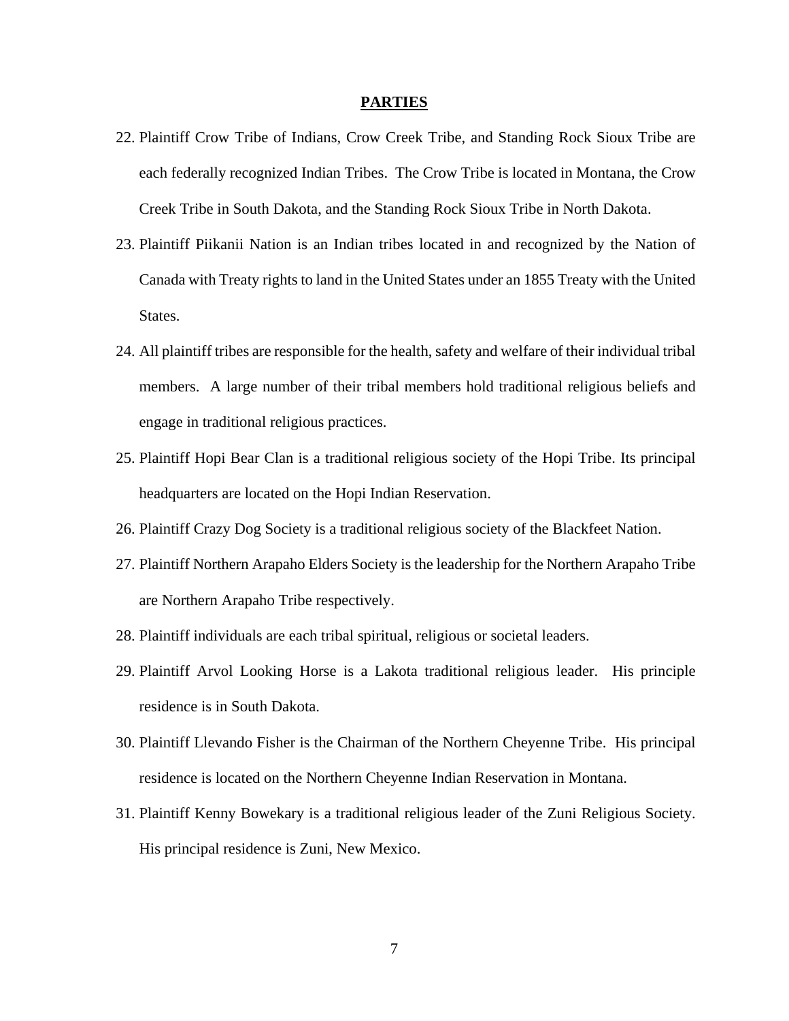#### **PARTIES**

- 22. Plaintiff Crow Tribe of Indians, Crow Creek Tribe, and Standing Rock Sioux Tribe are each federally recognized Indian Tribes. The Crow Tribe is located in Montana, the Crow Creek Tribe in South Dakota, and the Standing Rock Sioux Tribe in North Dakota.
- 23. Plaintiff Piikanii Nation is an Indian tribes located in and recognized by the Nation of Canada with Treaty rights to land in the United States under an 1855 Treaty with the United States.
- 24. All plaintiff tribes are responsible for the health, safety and welfare of their individual tribal members. A large number of their tribal members hold traditional religious beliefs and engage in traditional religious practices.
- 25. Plaintiff Hopi Bear Clan is a traditional religious society of the Hopi Tribe. Its principal headquarters are located on the Hopi Indian Reservation.
- 26. Plaintiff Crazy Dog Society is a traditional religious society of the Blackfeet Nation.
- 27. Plaintiff Northern Arapaho Elders Society is the leadership for the Northern Arapaho Tribe are Northern Arapaho Tribe respectively.
- 28. Plaintiff individuals are each tribal spiritual, religious or societal leaders.
- 29. Plaintiff Arvol Looking Horse is a Lakota traditional religious leader. His principle residence is in South Dakota.
- 30. Plaintiff Llevando Fisher is the Chairman of the Northern Cheyenne Tribe. His principal residence is located on the Northern Cheyenne Indian Reservation in Montana.
- 31. Plaintiff Kenny Bowekary is a traditional religious leader of the Zuni Religious Society. His principal residence is Zuni, New Mexico.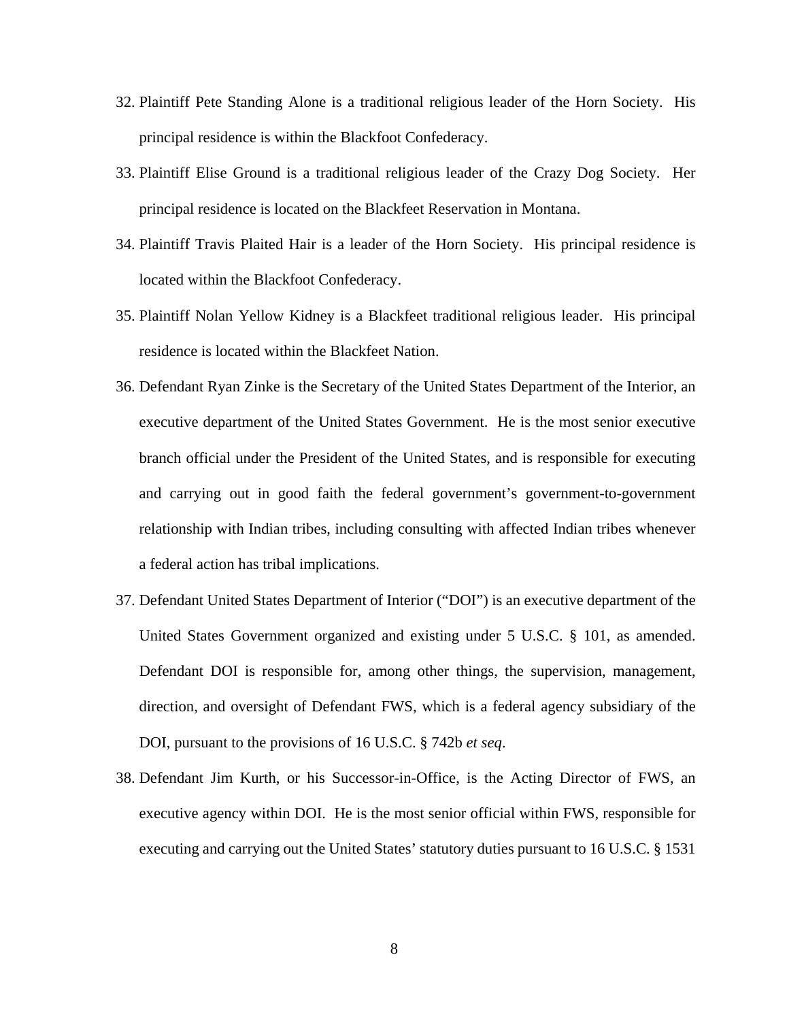- 32. Plaintiff Pete Standing Alone is a traditional religious leader of the Horn Society. His principal residence is within the Blackfoot Confederacy.
- 33. Plaintiff Elise Ground is a traditional religious leader of the Crazy Dog Society. Her principal residence is located on the Blackfeet Reservation in Montana.
- 34. Plaintiff Travis Plaited Hair is a leader of the Horn Society. His principal residence is located within the Blackfoot Confederacy.
- 35. Plaintiff Nolan Yellow Kidney is a Blackfeet traditional religious leader. His principal residence is located within the Blackfeet Nation.
- 36. Defendant Ryan Zinke is the Secretary of the United States Department of the Interior, an executive department of the United States Government. He is the most senior executive branch official under the President of the United States, and is responsible for executing and carrying out in good faith the federal government's government-to-government relationship with Indian tribes, including consulting with affected Indian tribes whenever a federal action has tribal implications.
- 37. Defendant United States Department of Interior ("DOI") is an executive department of the United States Government organized and existing under 5 U.S.C. § 101, as amended. Defendant DOI is responsible for, among other things, the supervision, management, direction, and oversight of Defendant FWS, which is a federal agency subsidiary of the DOI, pursuant to the provisions of 16 U.S.C. § 742b *et seq*.
- 38. Defendant Jim Kurth, or his Successor-in-Office, is the Acting Director of FWS, an executive agency within DOI. He is the most senior official within FWS, responsible for executing and carrying out the United States' statutory duties pursuant to 16 U.S.C. § 1531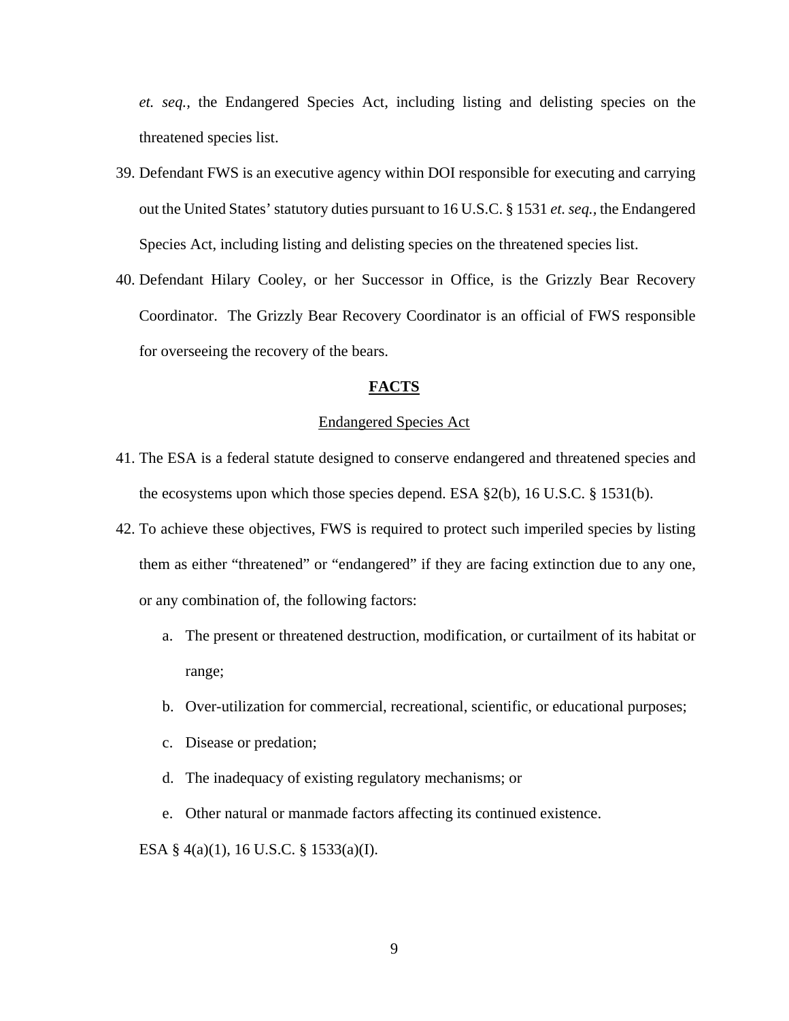*et. seq.,* the Endangered Species Act, including listing and delisting species on the threatened species list.

- 39. Defendant FWS is an executive agency within DOI responsible for executing and carrying out the United States' statutory duties pursuant to 16 U.S.C. § 1531 *et. seq.,* the Endangered Species Act, including listing and delisting species on the threatened species list.
- 40. Defendant Hilary Cooley, or her Successor in Office, is the Grizzly Bear Recovery Coordinator. The Grizzly Bear Recovery Coordinator is an official of FWS responsible for overseeing the recovery of the bears.

## **FACTS**

### Endangered Species Act

- 41. The ESA is a federal statute designed to conserve endangered and threatened species and the ecosystems upon which those species depend. ESA §2(b), 16 U.S.C. § 1531(b).
- 42. To achieve these objectives, FWS is required to protect such imperiled species by listing them as either "threatened" or "endangered" if they are facing extinction due to any one, or any combination of, the following factors:
	- a. The present or threatened destruction, modification, or curtailment of its habitat or range;
	- b. Over-utilization for commercial, recreational, scientific, or educational purposes;
	- c. Disease or predation;
	- d. The inadequacy of existing regulatory mechanisms; or
	- e. Other natural or manmade factors affecting its continued existence.

ESA § 4(a)(1), 16 U.S.C. § 1533(a)(I).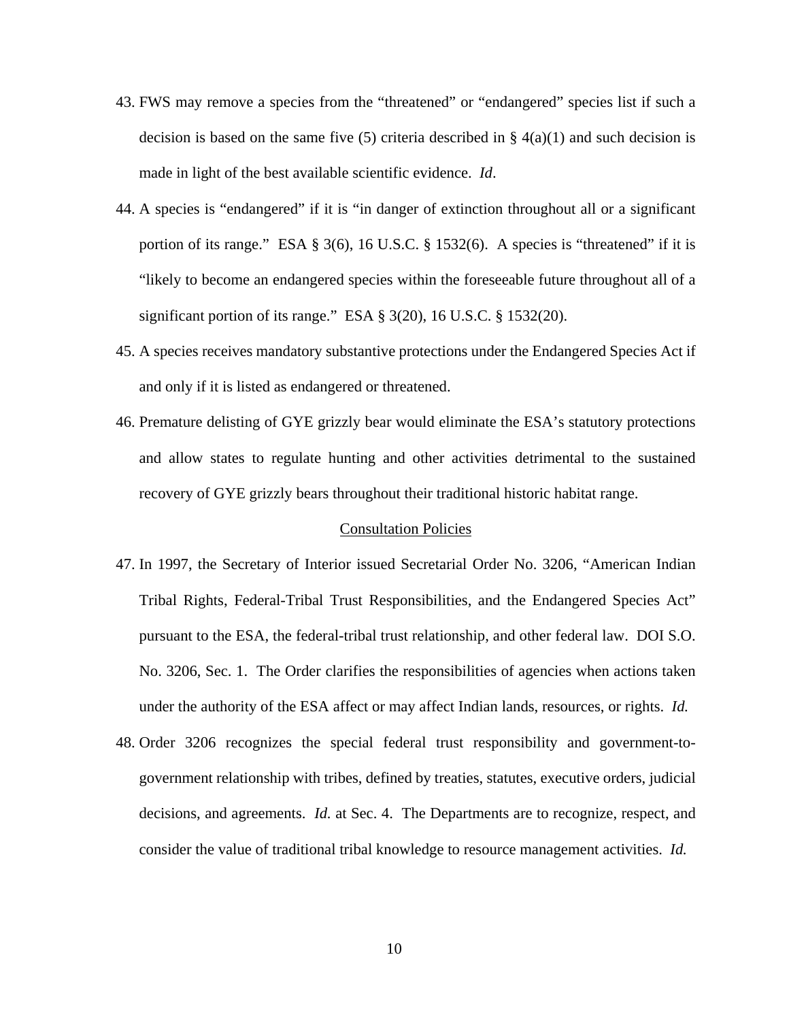- 43. FWS may remove a species from the "threatened" or "endangered" species list if such a decision is based on the same five (5) criteria described in  $\S$  4(a)(1) and such decision is made in light of the best available scientific evidence. *Id*.
- 44. A species is "endangered" if it is "in danger of extinction throughout all or a significant portion of its range." ESA § 3(6), 16 U.S.C. § 1532(6). A species is "threatened" if it is "likely to become an endangered species within the foreseeable future throughout all of a significant portion of its range." ESA  $\S$  3(20), 16 U.S.C.  $\S$  1532(20).
- 45. A species receives mandatory substantive protections under the Endangered Species Act if and only if it is listed as endangered or threatened.
- 46. Premature delisting of GYE grizzly bear would eliminate the ESA's statutory protections and allow states to regulate hunting and other activities detrimental to the sustained recovery of GYE grizzly bears throughout their traditional historic habitat range.

### Consultation Policies

- 47. In 1997, the Secretary of Interior issued Secretarial Order No. 3206, "American Indian Tribal Rights, Federal-Tribal Trust Responsibilities, and the Endangered Species Act" pursuant to the ESA, the federal-tribal trust relationship, and other federal law. DOI S.O. No. 3206, Sec. 1. The Order clarifies the responsibilities of agencies when actions taken under the authority of the ESA affect or may affect Indian lands, resources, or rights. *Id.*
- 48. Order 3206 recognizes the special federal trust responsibility and government-togovernment relationship with tribes, defined by treaties, statutes, executive orders, judicial decisions, and agreements. *Id.* at Sec. 4. The Departments are to recognize, respect, and consider the value of traditional tribal knowledge to resource management activities. *Id.*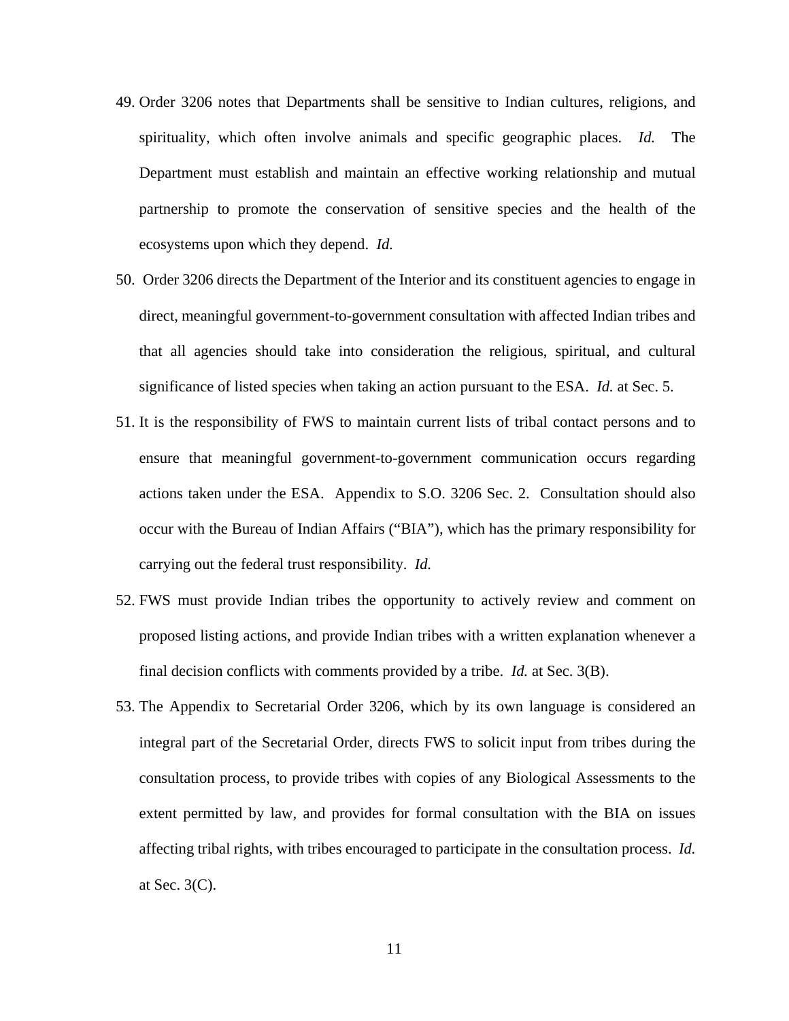- 49. Order 3206 notes that Departments shall be sensitive to Indian cultures, religions, and spirituality, which often involve animals and specific geographic places. *Id.* The Department must establish and maintain an effective working relationship and mutual partnership to promote the conservation of sensitive species and the health of the ecosystems upon which they depend. *Id.*
- 50. Order 3206 directs the Department of the Interior and its constituent agencies to engage in direct, meaningful government-to-government consultation with affected Indian tribes and that all agencies should take into consideration the religious, spiritual, and cultural significance of listed species when taking an action pursuant to the ESA. *Id.* at Sec. 5.
- 51. It is the responsibility of FWS to maintain current lists of tribal contact persons and to ensure that meaningful government-to-government communication occurs regarding actions taken under the ESA. Appendix to S.O. 3206 Sec. 2. Consultation should also occur with the Bureau of Indian Affairs ("BIA"), which has the primary responsibility for carrying out the federal trust responsibility. *Id.*
- 52. FWS must provide Indian tribes the opportunity to actively review and comment on proposed listing actions, and provide Indian tribes with a written explanation whenever a final decision conflicts with comments provided by a tribe. *Id.* at Sec. 3(B).
- 53. The Appendix to Secretarial Order 3206, which by its own language is considered an integral part of the Secretarial Order, directs FWS to solicit input from tribes during the consultation process, to provide tribes with copies of any Biological Assessments to the extent permitted by law, and provides for formal consultation with the BIA on issues affecting tribal rights, with tribes encouraged to participate in the consultation process. *Id.*  at Sec. 3(C).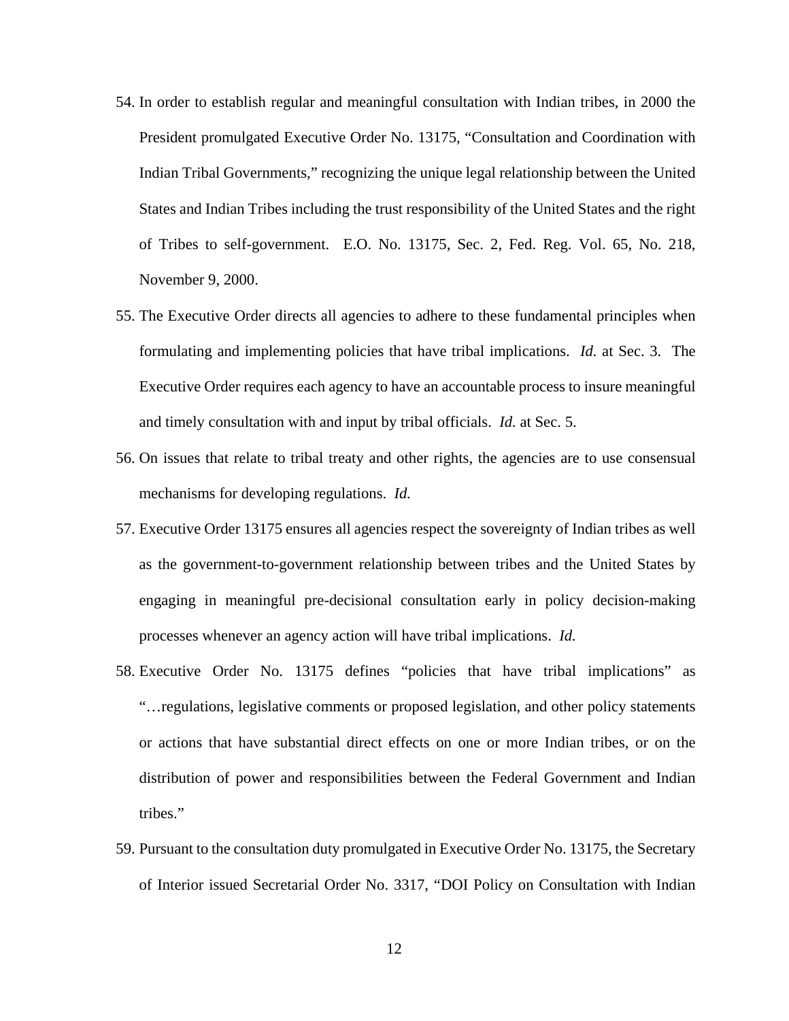- 54. In order to establish regular and meaningful consultation with Indian tribes, in 2000 the President promulgated Executive Order No. 13175, "Consultation and Coordination with Indian Tribal Governments," recognizing the unique legal relationship between the United States and Indian Tribes including the trust responsibility of the United States and the right of Tribes to self-government. E.O. No. 13175, Sec. 2, Fed. Reg. Vol. 65, No. 218, November 9, 2000.
- 55. The Executive Order directs all agencies to adhere to these fundamental principles when formulating and implementing policies that have tribal implications. *Id.* at Sec. 3. The Executive Order requires each agency to have an accountable process to insure meaningful and timely consultation with and input by tribal officials. *Id.* at Sec. 5.
- 56. On issues that relate to tribal treaty and other rights, the agencies are to use consensual mechanisms for developing regulations. *Id.*
- 57. Executive Order 13175 ensures all agencies respect the sovereignty of Indian tribes as well as the government-to-government relationship between tribes and the United States by engaging in meaningful pre-decisional consultation early in policy decision-making processes whenever an agency action will have tribal implications. *Id.*
- 58. Executive Order No. 13175 defines "policies that have tribal implications" as "…regulations, legislative comments or proposed legislation, and other policy statements or actions that have substantial direct effects on one or more Indian tribes, or on the distribution of power and responsibilities between the Federal Government and Indian tribes."
- 59. Pursuant to the consultation duty promulgated in Executive Order No. 13175, the Secretary of Interior issued Secretarial Order No. 3317, "DOI Policy on Consultation with Indian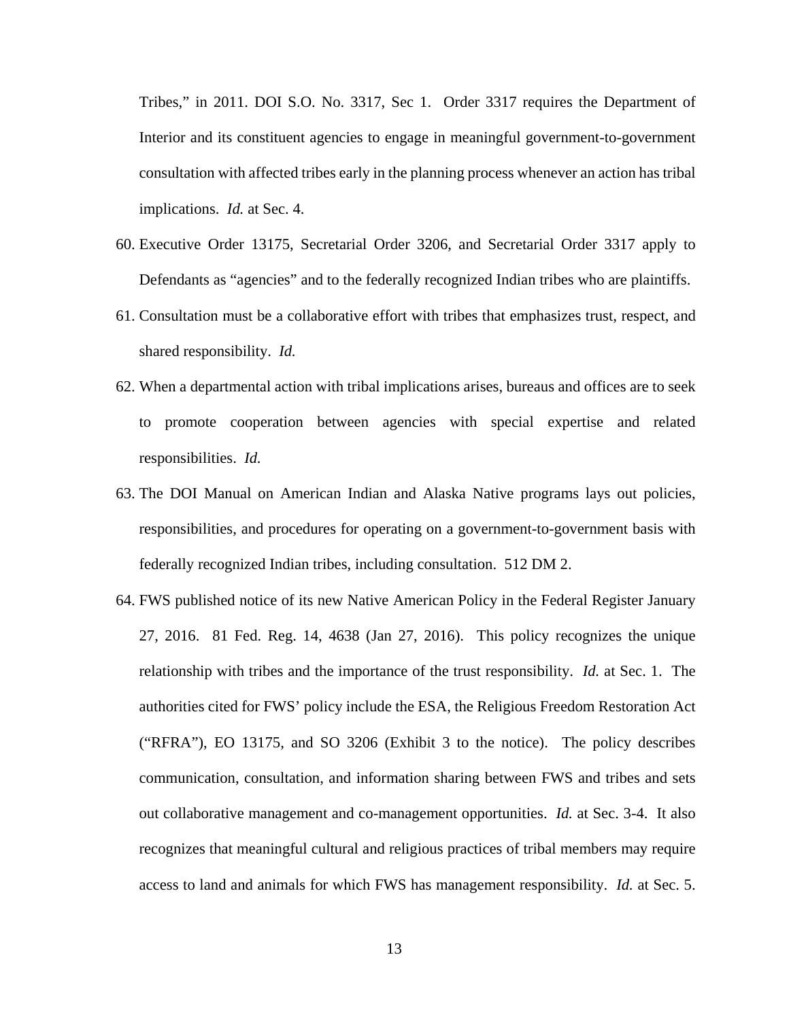Tribes," in 2011. DOI S.O. No. 3317, Sec 1. Order 3317 requires the Department of Interior and its constituent agencies to engage in meaningful government-to-government consultation with affected tribes early in the planning process whenever an action has tribal implications. *Id.* at Sec. 4.

- 60. Executive Order 13175, Secretarial Order 3206, and Secretarial Order 3317 apply to Defendants as "agencies" and to the federally recognized Indian tribes who are plaintiffs.
- 61. Consultation must be a collaborative effort with tribes that emphasizes trust, respect, and shared responsibility. *Id.*
- 62. When a departmental action with tribal implications arises, bureaus and offices are to seek to promote cooperation between agencies with special expertise and related responsibilities. *Id.*
- 63. The DOI Manual on American Indian and Alaska Native programs lays out policies, responsibilities, and procedures for operating on a government-to-government basis with federally recognized Indian tribes, including consultation. 512 DM 2.
- 64. FWS published notice of its new Native American Policy in the Federal Register January 27, 2016. 81 Fed. Reg. 14, 4638 (Jan 27, 2016). This policy recognizes the unique relationship with tribes and the importance of the trust responsibility. *Id.* at Sec. 1. The authorities cited for FWS' policy include the ESA, the Religious Freedom Restoration Act ("RFRA"), EO 13175, and SO 3206 (Exhibit 3 to the notice). The policy describes communication, consultation, and information sharing between FWS and tribes and sets out collaborative management and co-management opportunities. *Id.* at Sec. 3-4. It also recognizes that meaningful cultural and religious practices of tribal members may require access to land and animals for which FWS has management responsibility. *Id.* at Sec. 5.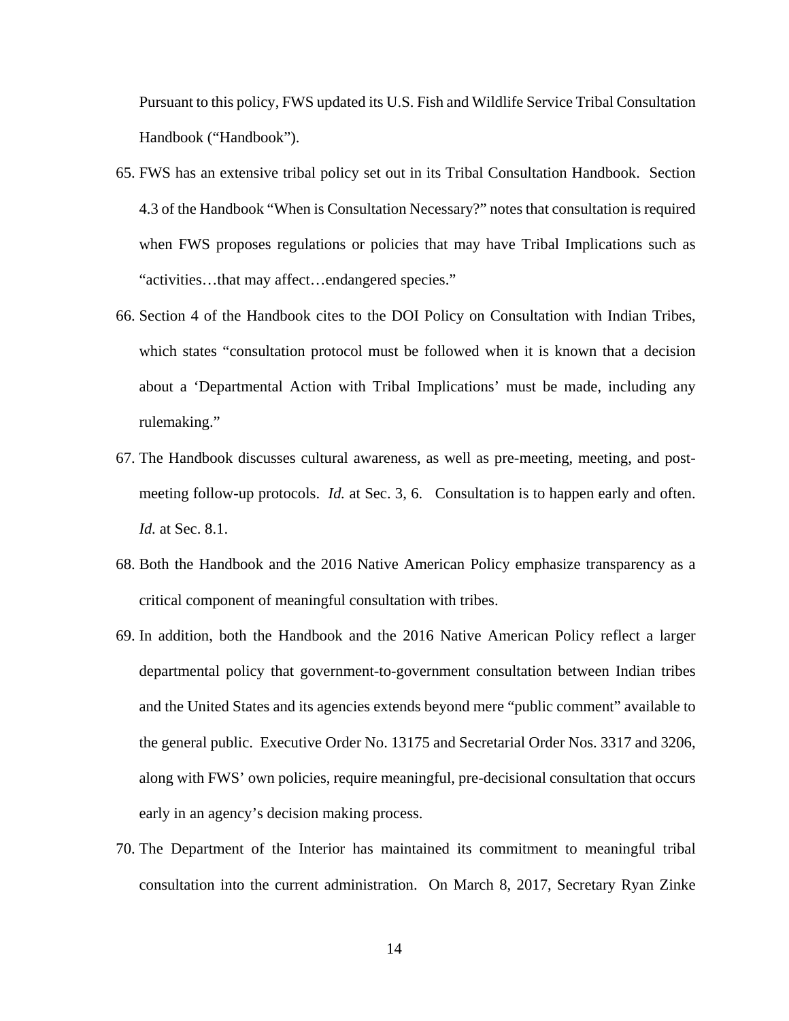Pursuant to this policy, FWS updated its U.S. Fish and Wildlife Service Tribal Consultation Handbook ("Handbook").

- 65. FWS has an extensive tribal policy set out in its Tribal Consultation Handbook. Section 4.3 of the Handbook "When is Consultation Necessary?" notes that consultation is required when FWS proposes regulations or policies that may have Tribal Implications such as "activities…that may affect…endangered species."
- 66. Section 4 of the Handbook cites to the DOI Policy on Consultation with Indian Tribes, which states "consultation protocol must be followed when it is known that a decision about a 'Departmental Action with Tribal Implications' must be made, including any rulemaking."
- 67. The Handbook discusses cultural awareness, as well as pre-meeting, meeting, and postmeeting follow-up protocols. *Id.* at Sec. 3, 6. Consultation is to happen early and often. *Id.* at Sec. 8.1.
- 68. Both the Handbook and the 2016 Native American Policy emphasize transparency as a critical component of meaningful consultation with tribes.
- 69. In addition, both the Handbook and the 2016 Native American Policy reflect a larger departmental policy that government-to-government consultation between Indian tribes and the United States and its agencies extends beyond mere "public comment" available to the general public. Executive Order No. 13175 and Secretarial Order Nos. 3317 and 3206, along with FWS' own policies, require meaningful, pre-decisional consultation that occurs early in an agency's decision making process.
- 70. The Department of the Interior has maintained its commitment to meaningful tribal consultation into the current administration. On March 8, 2017, Secretary Ryan Zinke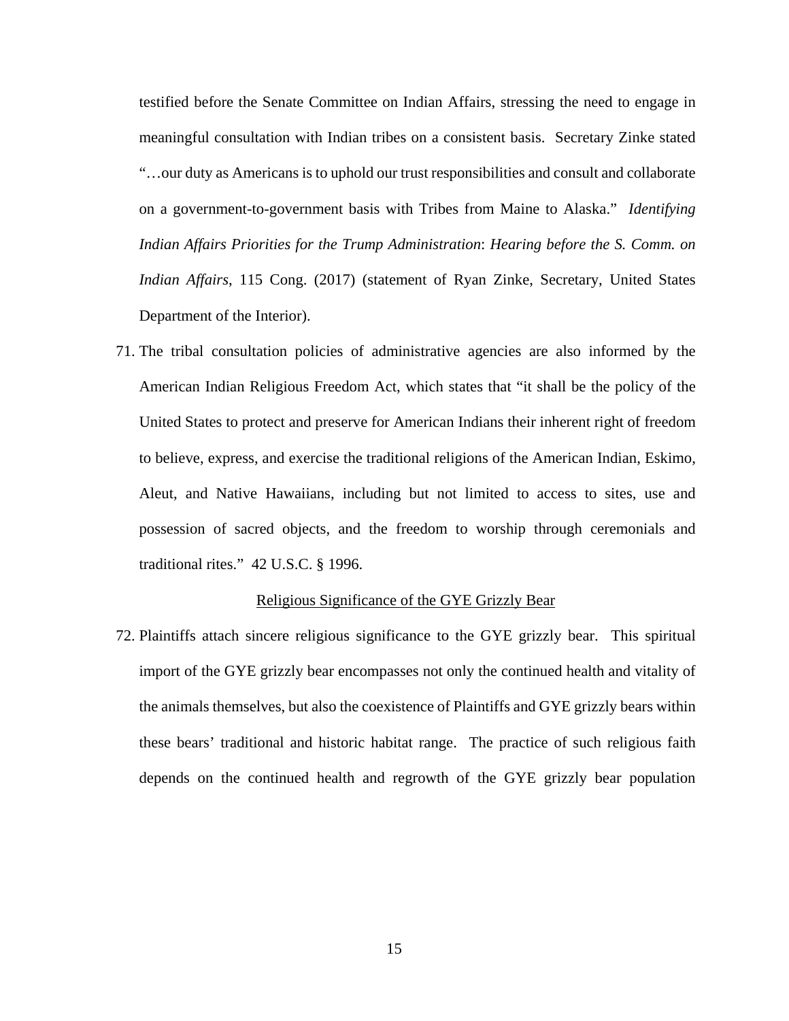testified before the Senate Committee on Indian Affairs, stressing the need to engage in meaningful consultation with Indian tribes on a consistent basis. Secretary Zinke stated "…our duty as Americans is to uphold our trust responsibilities and consult and collaborate on a government-to-government basis with Tribes from Maine to Alaska." *Identifying Indian Affairs Priorities for the Trump Administration*: *Hearing before the S. Comm. on Indian Affairs*, 115 Cong. (2017) (statement of Ryan Zinke, Secretary, United States Department of the Interior).

71. The tribal consultation policies of administrative agencies are also informed by the American Indian Religious Freedom Act, which states that "it shall be the policy of the United States to protect and preserve for American Indians their inherent right of freedom to believe, express, and exercise the traditional religions of the American Indian, Eskimo, Aleut, and Native Hawaiians, including but not limited to access to sites, use and possession of sacred objects, and the freedom to worship through ceremonials and traditional rites." 42 U.S.C. § 1996.

## Religious Significance of the GYE Grizzly Bear

72. Plaintiffs attach sincere religious significance to the GYE grizzly bear. This spiritual import of the GYE grizzly bear encompasses not only the continued health and vitality of the animals themselves, but also the coexistence of Plaintiffs and GYE grizzly bears within these bears' traditional and historic habitat range. The practice of such religious faith depends on the continued health and regrowth of the GYE grizzly bear population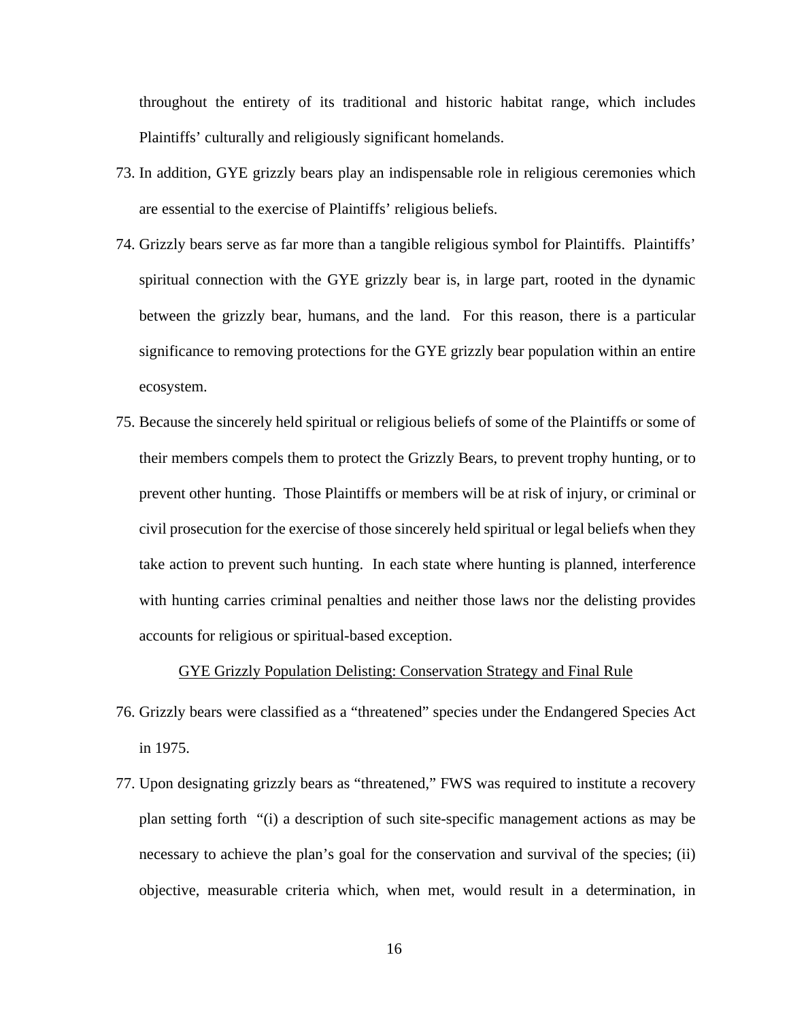throughout the entirety of its traditional and historic habitat range, which includes Plaintiffs' culturally and religiously significant homelands.

- 73. In addition, GYE grizzly bears play an indispensable role in religious ceremonies which are essential to the exercise of Plaintiffs' religious beliefs.
- 74. Grizzly bears serve as far more than a tangible religious symbol for Plaintiffs. Plaintiffs' spiritual connection with the GYE grizzly bear is, in large part, rooted in the dynamic between the grizzly bear, humans, and the land. For this reason, there is a particular significance to removing protections for the GYE grizzly bear population within an entire ecosystem.
- 75. Because the sincerely held spiritual or religious beliefs of some of the Plaintiffs or some of their members compels them to protect the Grizzly Bears, to prevent trophy hunting, or to prevent other hunting. Those Plaintiffs or members will be at risk of injury, or criminal or civil prosecution for the exercise of those sincerely held spiritual or legal beliefs when they take action to prevent such hunting. In each state where hunting is planned, interference with hunting carries criminal penalties and neither those laws nor the delisting provides accounts for religious or spiritual-based exception.

### GYE Grizzly Population Delisting: Conservation Strategy and Final Rule

- 76. Grizzly bears were classified as a "threatened" species under the Endangered Species Act in 1975.
- 77. Upon designating grizzly bears as "threatened," FWS was required to institute a recovery plan setting forth "(i) a description of such site-specific management actions as may be necessary to achieve the plan's goal for the conservation and survival of the species; (ii) objective, measurable criteria which, when met, would result in a determination, in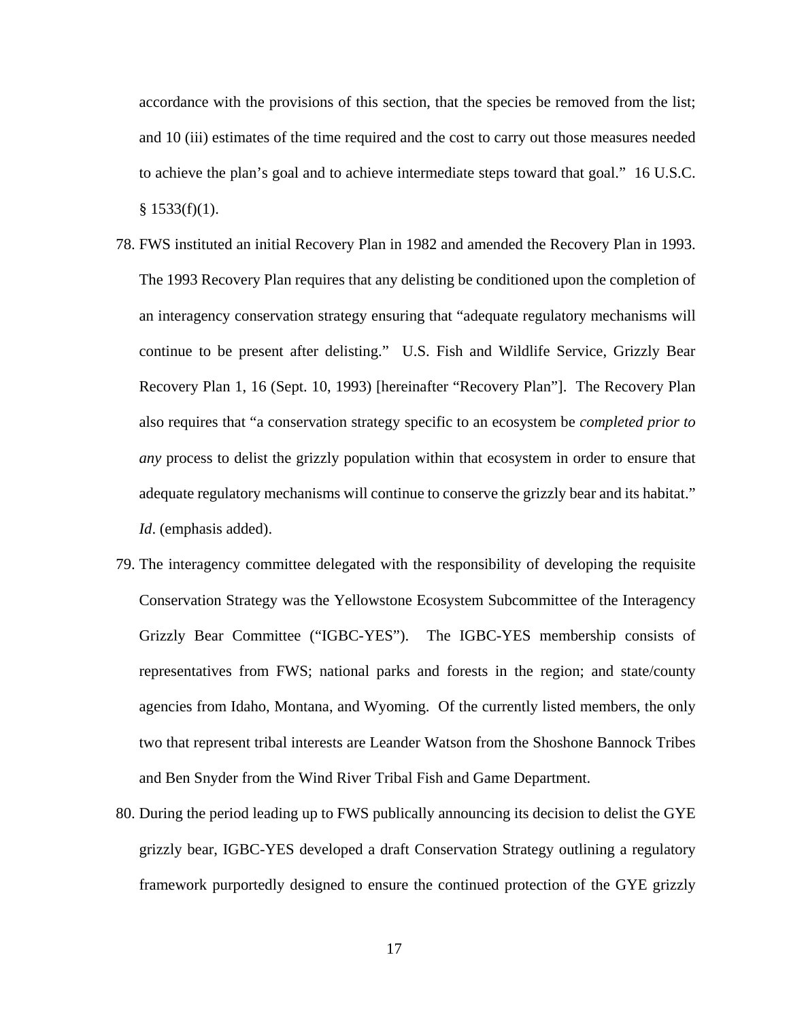accordance with the provisions of this section, that the species be removed from the list; and 10 (iii) estimates of the time required and the cost to carry out those measures needed to achieve the plan's goal and to achieve intermediate steps toward that goal." 16 U.S.C.  $§$  1533(f)(1).

- 78. FWS instituted an initial Recovery Plan in 1982 and amended the Recovery Plan in 1993. The 1993 Recovery Plan requires that any delisting be conditioned upon the completion of an interagency conservation strategy ensuring that "adequate regulatory mechanisms will continue to be present after delisting." U.S. Fish and Wildlife Service, Grizzly Bear Recovery Plan 1, 16 (Sept. 10, 1993) [hereinafter "Recovery Plan"]. The Recovery Plan also requires that "a conservation strategy specific to an ecosystem be *completed prior to any* process to delist the grizzly population within that ecosystem in order to ensure that adequate regulatory mechanisms will continue to conserve the grizzly bear and its habitat." *Id*. (emphasis added).
- 79. The interagency committee delegated with the responsibility of developing the requisite Conservation Strategy was the Yellowstone Ecosystem Subcommittee of the Interagency Grizzly Bear Committee ("IGBC-YES"). The IGBC-YES membership consists of representatives from FWS; national parks and forests in the region; and state/county agencies from Idaho, Montana, and Wyoming. Of the currently listed members, the only two that represent tribal interests are Leander Watson from the Shoshone Bannock Tribes and Ben Snyder from the Wind River Tribal Fish and Game Department.
- 80. During the period leading up to FWS publically announcing its decision to delist the GYE grizzly bear, IGBC-YES developed a draft Conservation Strategy outlining a regulatory framework purportedly designed to ensure the continued protection of the GYE grizzly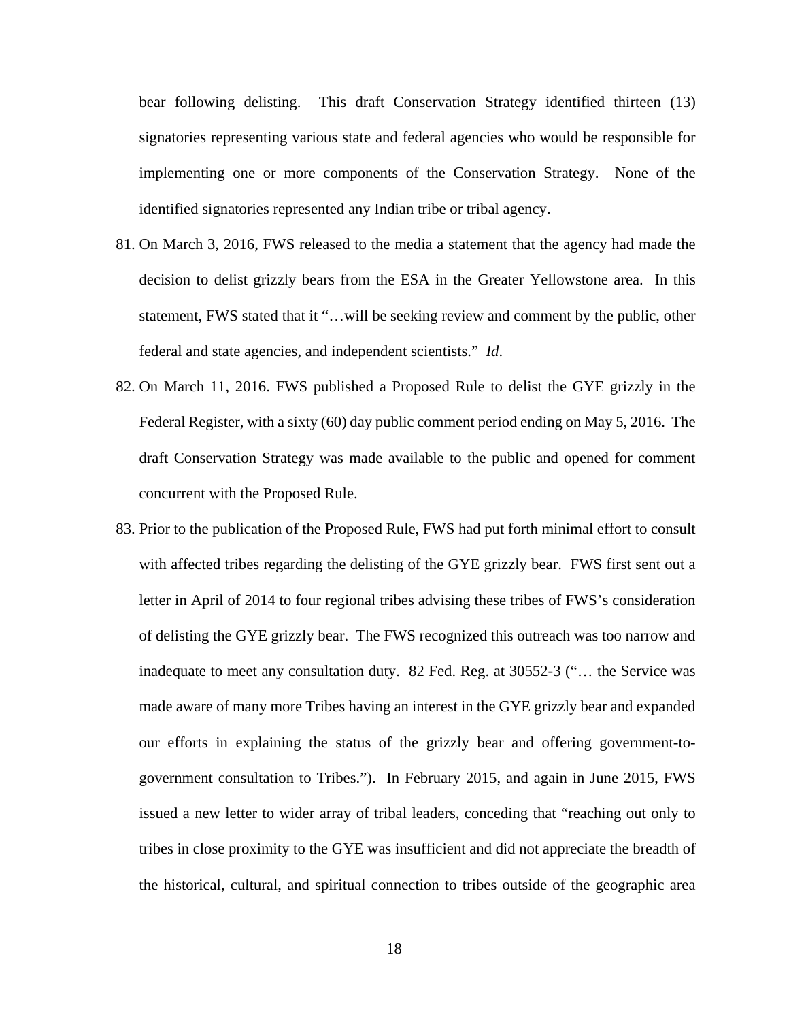bear following delisting. This draft Conservation Strategy identified thirteen (13) signatories representing various state and federal agencies who would be responsible for implementing one or more components of the Conservation Strategy. None of the identified signatories represented any Indian tribe or tribal agency.

- 81. On March 3, 2016, FWS released to the media a statement that the agency had made the decision to delist grizzly bears from the ESA in the Greater Yellowstone area. In this statement, FWS stated that it "…will be seeking review and comment by the public, other federal and state agencies, and independent scientists." *Id*.
- 82. On March 11, 2016. FWS published a Proposed Rule to delist the GYE grizzly in the Federal Register, with a sixty (60) day public comment period ending on May 5, 2016. The draft Conservation Strategy was made available to the public and opened for comment concurrent with the Proposed Rule.
- 83. Prior to the publication of the Proposed Rule, FWS had put forth minimal effort to consult with affected tribes regarding the delisting of the GYE grizzly bear. FWS first sent out a letter in April of 2014 to four regional tribes advising these tribes of FWS's consideration of delisting the GYE grizzly bear. The FWS recognized this outreach was too narrow and inadequate to meet any consultation duty. 82 Fed. Reg. at 30552-3 ("… the Service was made aware of many more Tribes having an interest in the GYE grizzly bear and expanded our efforts in explaining the status of the grizzly bear and offering government-togovernment consultation to Tribes."). In February 2015, and again in June 2015, FWS issued a new letter to wider array of tribal leaders, conceding that "reaching out only to tribes in close proximity to the GYE was insufficient and did not appreciate the breadth of the historical, cultural, and spiritual connection to tribes outside of the geographic area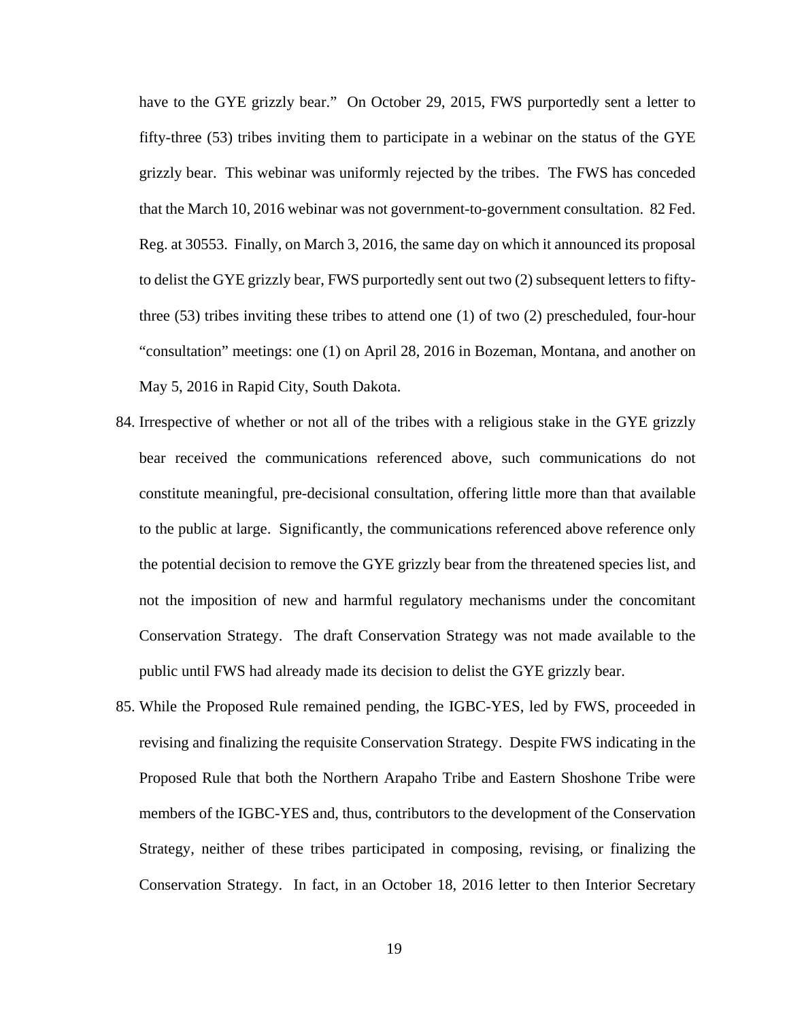have to the GYE grizzly bear." On October 29, 2015, FWS purportedly sent a letter to fifty-three (53) tribes inviting them to participate in a webinar on the status of the GYE grizzly bear. This webinar was uniformly rejected by the tribes. The FWS has conceded that the March 10, 2016 webinar was not government-to-government consultation. 82 Fed. Reg. at 30553. Finally, on March 3, 2016, the same day on which it announced its proposal to delist the GYE grizzly bear, FWS purportedly sent out two (2) subsequent letters to fiftythree (53) tribes inviting these tribes to attend one (1) of two (2) prescheduled, four-hour "consultation" meetings: one (1) on April 28, 2016 in Bozeman, Montana, and another on May 5, 2016 in Rapid City, South Dakota.

- 84. Irrespective of whether or not all of the tribes with a religious stake in the GYE grizzly bear received the communications referenced above, such communications do not constitute meaningful, pre-decisional consultation, offering little more than that available to the public at large. Significantly, the communications referenced above reference only the potential decision to remove the GYE grizzly bear from the threatened species list, and not the imposition of new and harmful regulatory mechanisms under the concomitant Conservation Strategy. The draft Conservation Strategy was not made available to the public until FWS had already made its decision to delist the GYE grizzly bear.
- 85. While the Proposed Rule remained pending, the IGBC-YES, led by FWS, proceeded in revising and finalizing the requisite Conservation Strategy. Despite FWS indicating in the Proposed Rule that both the Northern Arapaho Tribe and Eastern Shoshone Tribe were members of the IGBC-YES and, thus, contributors to the development of the Conservation Strategy, neither of these tribes participated in composing, revising, or finalizing the Conservation Strategy. In fact, in an October 18, 2016 letter to then Interior Secretary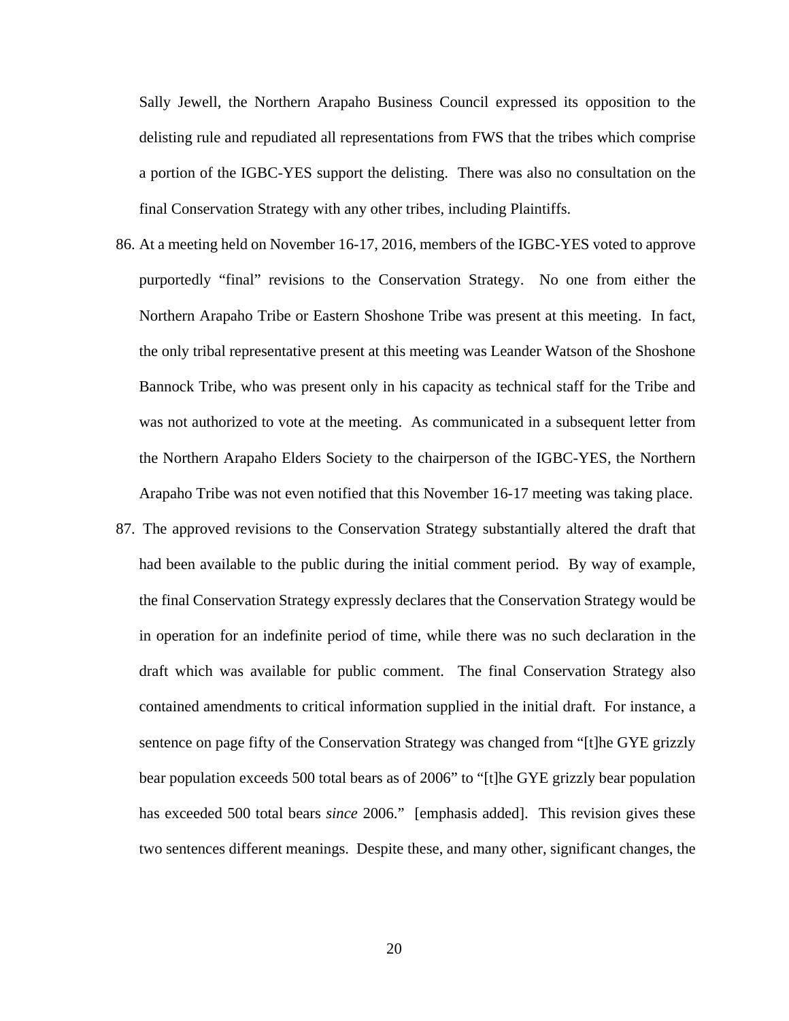Sally Jewell, the Northern Arapaho Business Council expressed its opposition to the delisting rule and repudiated all representations from FWS that the tribes which comprise a portion of the IGBC-YES support the delisting. There was also no consultation on the final Conservation Strategy with any other tribes, including Plaintiffs.

- 86. At a meeting held on November 16-17, 2016, members of the IGBC-YES voted to approve purportedly "final" revisions to the Conservation Strategy. No one from either the Northern Arapaho Tribe or Eastern Shoshone Tribe was present at this meeting. In fact, the only tribal representative present at this meeting was Leander Watson of the Shoshone Bannock Tribe, who was present only in his capacity as technical staff for the Tribe and was not authorized to vote at the meeting. As communicated in a subsequent letter from the Northern Arapaho Elders Society to the chairperson of the IGBC-YES, the Northern Arapaho Tribe was not even notified that this November 16-17 meeting was taking place.
- 87. The approved revisions to the Conservation Strategy substantially altered the draft that had been available to the public during the initial comment period. By way of example, the final Conservation Strategy expressly declares that the Conservation Strategy would be in operation for an indefinite period of time, while there was no such declaration in the draft which was available for public comment. The final Conservation Strategy also contained amendments to critical information supplied in the initial draft. For instance, a sentence on page fifty of the Conservation Strategy was changed from "[t]he GYE grizzly bear population exceeds 500 total bears as of 2006" to "[t]he GYE grizzly bear population has exceeded 500 total bears *since* 2006." [emphasis added]. This revision gives these two sentences different meanings. Despite these, and many other, significant changes, the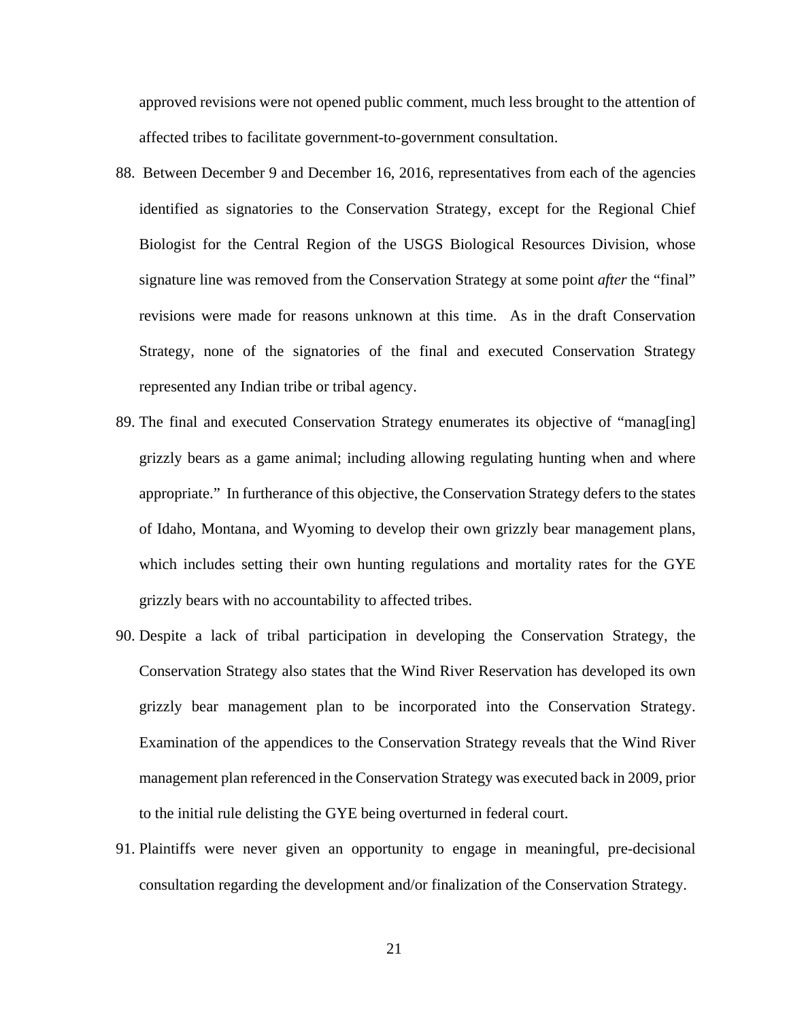approved revisions were not opened public comment, much less brought to the attention of affected tribes to facilitate government-to-government consultation.

- 88. Between December 9 and December 16, 2016, representatives from each of the agencies identified as signatories to the Conservation Strategy, except for the Regional Chief Biologist for the Central Region of the USGS Biological Resources Division, whose signature line was removed from the Conservation Strategy at some point *after* the "final" revisions were made for reasons unknown at this time. As in the draft Conservation Strategy, none of the signatories of the final and executed Conservation Strategy represented any Indian tribe or tribal agency.
- 89. The final and executed Conservation Strategy enumerates its objective of "manag[ing] grizzly bears as a game animal; including allowing regulating hunting when and where appropriate." In furtherance of this objective, the Conservation Strategy defers to the states of Idaho, Montana, and Wyoming to develop their own grizzly bear management plans, which includes setting their own hunting regulations and mortality rates for the GYE grizzly bears with no accountability to affected tribes.
- 90. Despite a lack of tribal participation in developing the Conservation Strategy, the Conservation Strategy also states that the Wind River Reservation has developed its own grizzly bear management plan to be incorporated into the Conservation Strategy. Examination of the appendices to the Conservation Strategy reveals that the Wind River management plan referenced in the Conservation Strategy was executed back in 2009, prior to the initial rule delisting the GYE being overturned in federal court.
- 91. Plaintiffs were never given an opportunity to engage in meaningful, pre-decisional consultation regarding the development and/or finalization of the Conservation Strategy.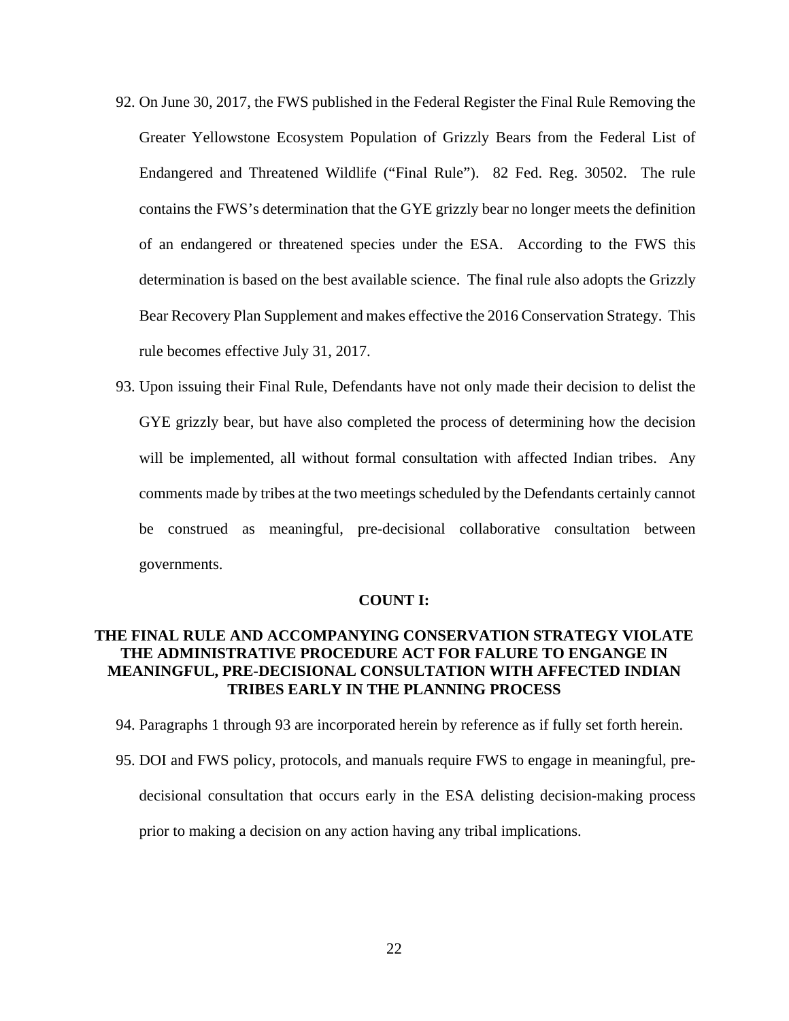- 92. On June 30, 2017, the FWS published in the Federal Register the Final Rule Removing the Greater Yellowstone Ecosystem Population of Grizzly Bears from the Federal List of Endangered and Threatened Wildlife ("Final Rule"). 82 Fed. Reg. 30502. The rule contains the FWS's determination that the GYE grizzly bear no longer meets the definition of an endangered or threatened species under the ESA. According to the FWS this determination is based on the best available science. The final rule also adopts the Grizzly Bear Recovery Plan Supplement and makes effective the 2016 Conservation Strategy. This rule becomes effective July 31, 2017.
- 93. Upon issuing their Final Rule, Defendants have not only made their decision to delist the GYE grizzly bear, but have also completed the process of determining how the decision will be implemented, all without formal consultation with affected Indian tribes. Any comments made by tribes at the two meetings scheduled by the Defendants certainly cannot be construed as meaningful, pre-decisional collaborative consultation between governments.

## **COUNT I:**

## **THE FINAL RULE AND ACCOMPANYING CONSERVATION STRATEGY VIOLATE THE ADMINISTRATIVE PROCEDURE ACT FOR FALURE TO ENGANGE IN MEANINGFUL, PRE-DECISIONAL CONSULTATION WITH AFFECTED INDIAN TRIBES EARLY IN THE PLANNING PROCESS**

- 94. Paragraphs 1 through 93 are incorporated herein by reference as if fully set forth herein.
- 95. DOI and FWS policy, protocols, and manuals require FWS to engage in meaningful, predecisional consultation that occurs early in the ESA delisting decision-making process prior to making a decision on any action having any tribal implications.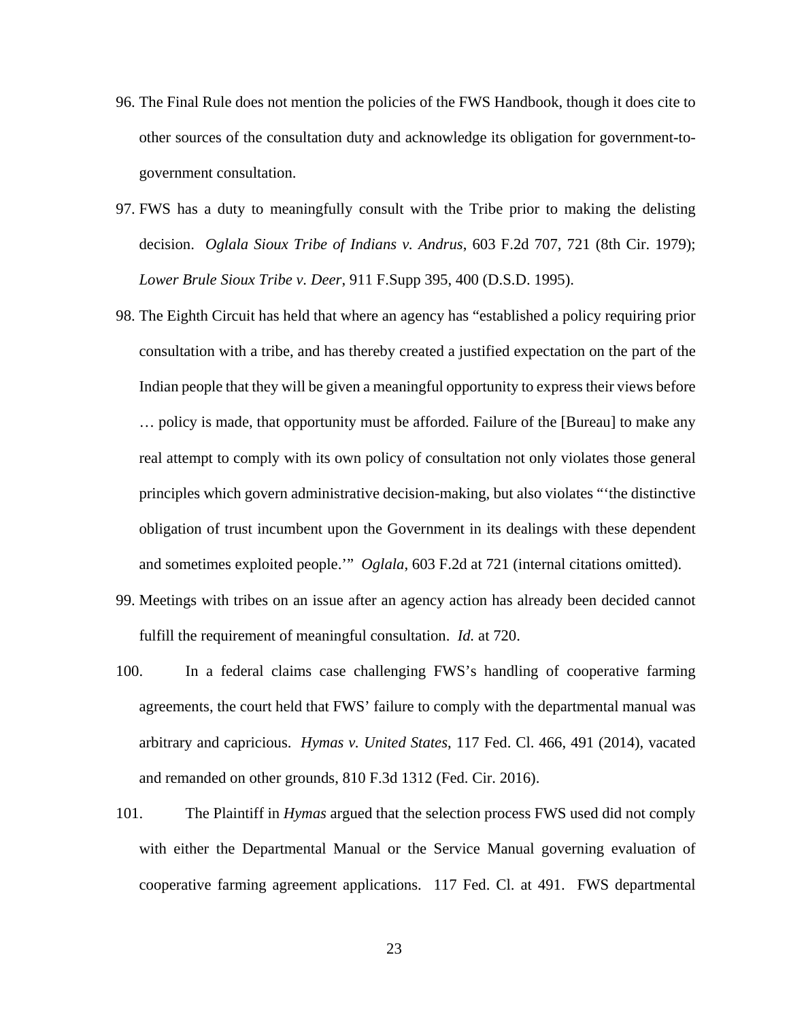- 96. The Final Rule does not mention the policies of the FWS Handbook, though it does cite to other sources of the consultation duty and acknowledge its obligation for government-togovernment consultation.
- 97. FWS has a duty to meaningfully consult with the Tribe prior to making the delisting decision. *Oglala Sioux Tribe of Indians v. Andrus*, 603 F.2d 707, 721 (8th Cir. 1979); *Lower Brule Sioux Tribe v. Deer*, 911 F.Supp 395, 400 (D.S.D. 1995).
- 98. The Eighth Circuit has held that where an agency has "established a policy requiring prior consultation with a tribe, and has thereby created a justified expectation on the part of the Indian people that they will be given a meaningful opportunity to express their views before … policy is made, that opportunity must be afforded. Failure of the [Bureau] to make any real attempt to comply with its own policy of consultation not only violates those general principles which govern administrative decision-making, but also violates "'the distinctive obligation of trust incumbent upon the Government in its dealings with these dependent and sometimes exploited people.'" *Oglala*, 603 F.2d at 721 (internal citations omitted).
- 99. Meetings with tribes on an issue after an agency action has already been decided cannot fulfill the requirement of meaningful consultation. *Id.* at 720.
- 100. In a federal claims case challenging FWS's handling of cooperative farming agreements, the court held that FWS' failure to comply with the departmental manual was arbitrary and capricious. *Hymas v. United States*, 117 Fed. Cl. 466, 491 (2014), vacated and remanded on other grounds, 810 F.3d 1312 (Fed. Cir. 2016).
- 101. The Plaintiff in *Hymas* argued that the selection process FWS used did not comply with either the Departmental Manual or the Service Manual governing evaluation of cooperative farming agreement applications. 117 Fed. Cl. at 491. FWS departmental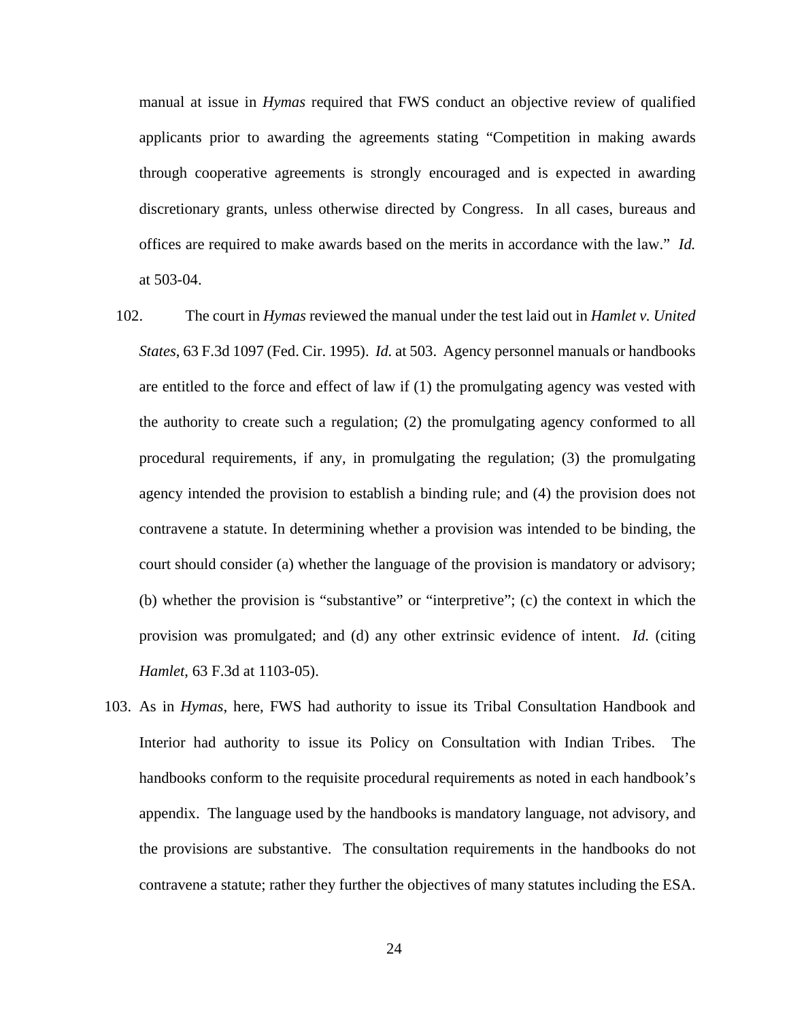manual at issue in *Hymas* required that FWS conduct an objective review of qualified applicants prior to awarding the agreements stating "Competition in making awards through cooperative agreements is strongly encouraged and is expected in awarding discretionary grants, unless otherwise directed by Congress. In all cases, bureaus and offices are required to make awards based on the merits in accordance with the law." *Id.* at 503-04.

- 102. The court in *Hymas* reviewed the manual under the test laid out in *Hamlet v. United States*, 63 F.3d 1097 (Fed. Cir. 1995). *Id.* at 503. Agency personnel manuals or handbooks are entitled to the force and effect of law if (1) the promulgating agency was vested with the authority to create such a regulation; (2) the promulgating agency conformed to all procedural requirements, if any, in promulgating the regulation; (3) the promulgating agency intended the provision to establish a binding rule; and (4) the provision does not contravene a statute. In determining whether a provision was intended to be binding, the court should consider (a) whether the language of the provision is mandatory or advisory; (b) whether the provision is "substantive" or "interpretive"; (c) the context in which the provision was promulgated; and (d) any other extrinsic evidence of intent. *Id.* (citing *Hamlet*, 63 F.3d at 1103-05).
- 103. As in *Hymas*, here, FWS had authority to issue its Tribal Consultation Handbook and Interior had authority to issue its Policy on Consultation with Indian Tribes. The handbooks conform to the requisite procedural requirements as noted in each handbook's appendix. The language used by the handbooks is mandatory language, not advisory, and the provisions are substantive. The consultation requirements in the handbooks do not contravene a statute; rather they further the objectives of many statutes including the ESA.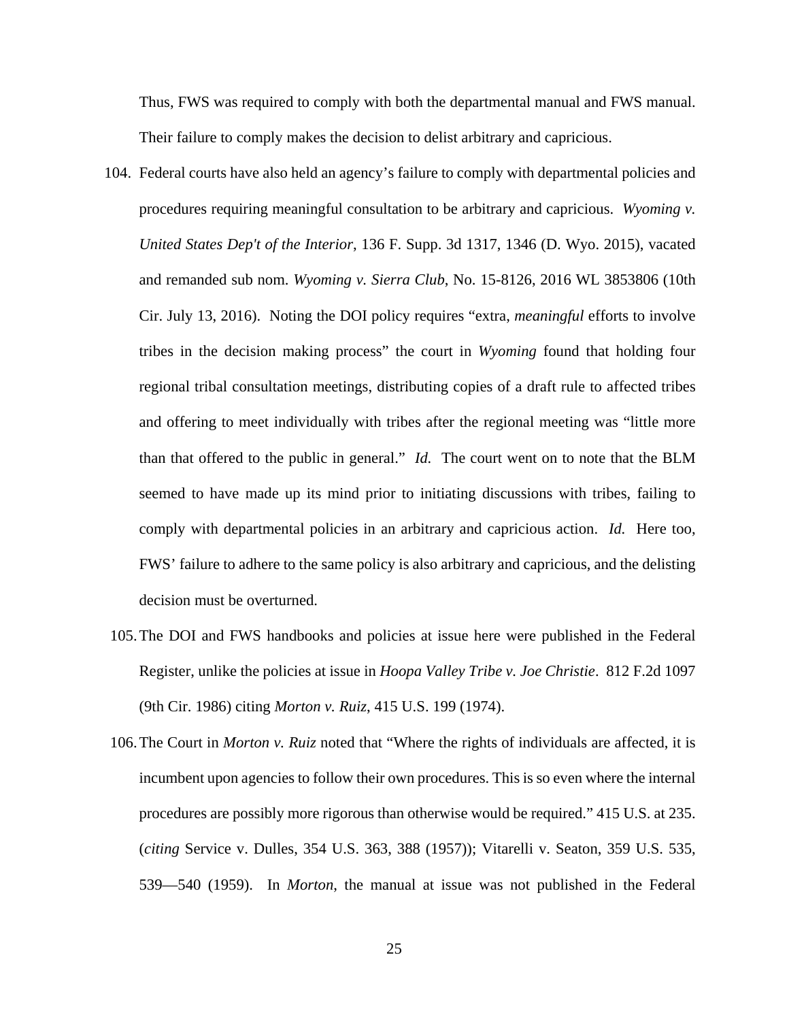Thus, FWS was required to comply with both the departmental manual and FWS manual. Their failure to comply makes the decision to delist arbitrary and capricious.

- 104. Federal courts have also held an agency's failure to comply with departmental policies and procedures requiring meaningful consultation to be arbitrary and capricious. *Wyoming v. United States Dep't of the Interior*, 136 F. Supp. 3d 1317, 1346 (D. Wyo. 2015), vacated and remanded sub nom. *Wyoming v. Sierra Club*, No. 15-8126, 2016 WL 3853806 (10th Cir. July 13, 2016). Noting the DOI policy requires "extra, *meaningful* efforts to involve tribes in the decision making process" the court in *Wyoming* found that holding four regional tribal consultation meetings, distributing copies of a draft rule to affected tribes and offering to meet individually with tribes after the regional meeting was "little more than that offered to the public in general." *Id.* The court went on to note that the BLM seemed to have made up its mind prior to initiating discussions with tribes, failing to comply with departmental policies in an arbitrary and capricious action. *Id.* Here too, FWS' failure to adhere to the same policy is also arbitrary and capricious, and the delisting decision must be overturned.
- 105.The DOI and FWS handbooks and policies at issue here were published in the Federal Register, unlike the policies at issue in *Hoopa Valley Tribe v. Joe Christie*. 812 F.2d 1097 (9th Cir. 1986) citing *Morton v. Ruiz*, 415 U.S. 199 (1974).
- 106.The Court in *Morton v. Ruiz* noted that "Where the rights of individuals are affected, it is incumbent upon agencies to follow their own procedures. This is so even where the internal procedures are possibly more rigorous than otherwise would be required." 415 U.S. at 235. (*citing* Service v. Dulles, 354 U.S. 363, 388 (1957)); Vitarelli v. Seaton, 359 U.S. 535, 539—540 (1959). In *Morton*, the manual at issue was not published in the Federal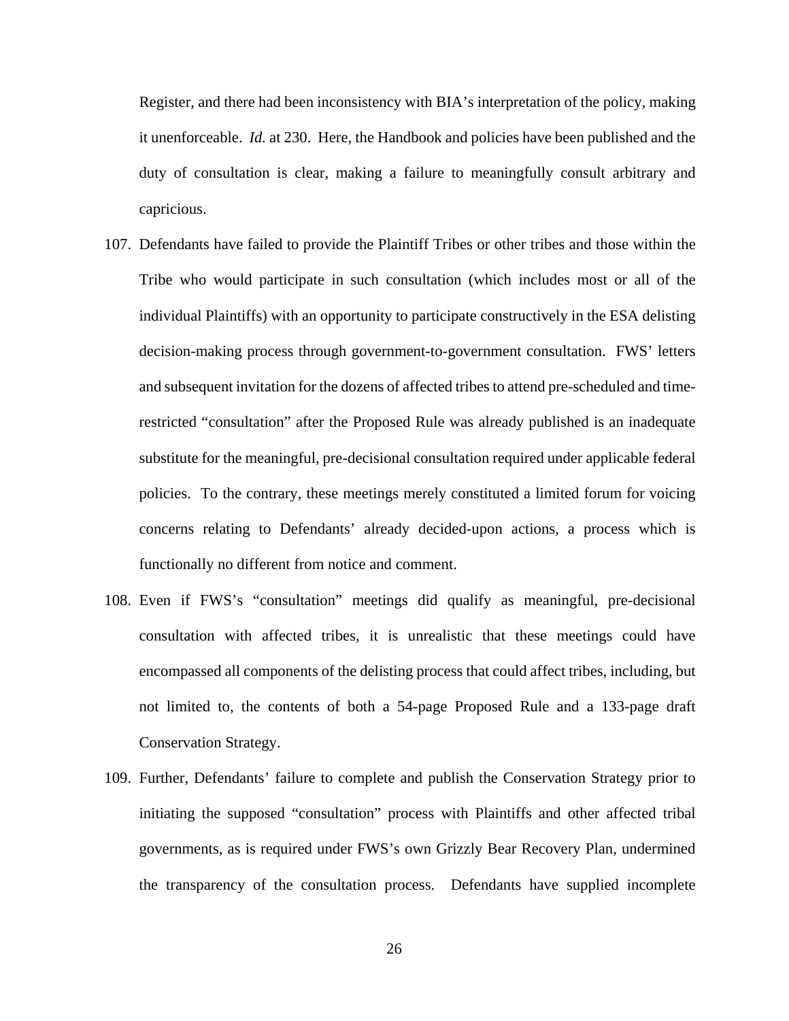Register, and there had been inconsistency with BIA's interpretation of the policy, making it unenforceable. *Id.* at 230. Here, the Handbook and policies have been published and the duty of consultation is clear, making a failure to meaningfully consult arbitrary and capricious.

- 107. Defendants have failed to provide the Plaintiff Tribes or other tribes and those within the Tribe who would participate in such consultation (which includes most or all of the individual Plaintiffs) with an opportunity to participate constructively in the ESA delisting decision-making process through government-to-government consultation. FWS' letters and subsequent invitation for the dozens of affected tribes to attend pre-scheduled and timerestricted "consultation" after the Proposed Rule was already published is an inadequate substitute for the meaningful, pre-decisional consultation required under applicable federal policies. To the contrary, these meetings merely constituted a limited forum for voicing concerns relating to Defendants' already decided-upon actions, a process which is functionally no different from notice and comment.
- 108. Even if FWS's "consultation" meetings did qualify as meaningful, pre-decisional consultation with affected tribes, it is unrealistic that these meetings could have encompassed all components of the delisting process that could affect tribes, including, but not limited to, the contents of both a 54-page Proposed Rule and a 133-page draft Conservation Strategy.
- 109. Further, Defendants' failure to complete and publish the Conservation Strategy prior to initiating the supposed "consultation" process with Plaintiffs and other affected tribal governments, as is required under FWS's own Grizzly Bear Recovery Plan, undermined the transparency of the consultation process. Defendants have supplied incomplete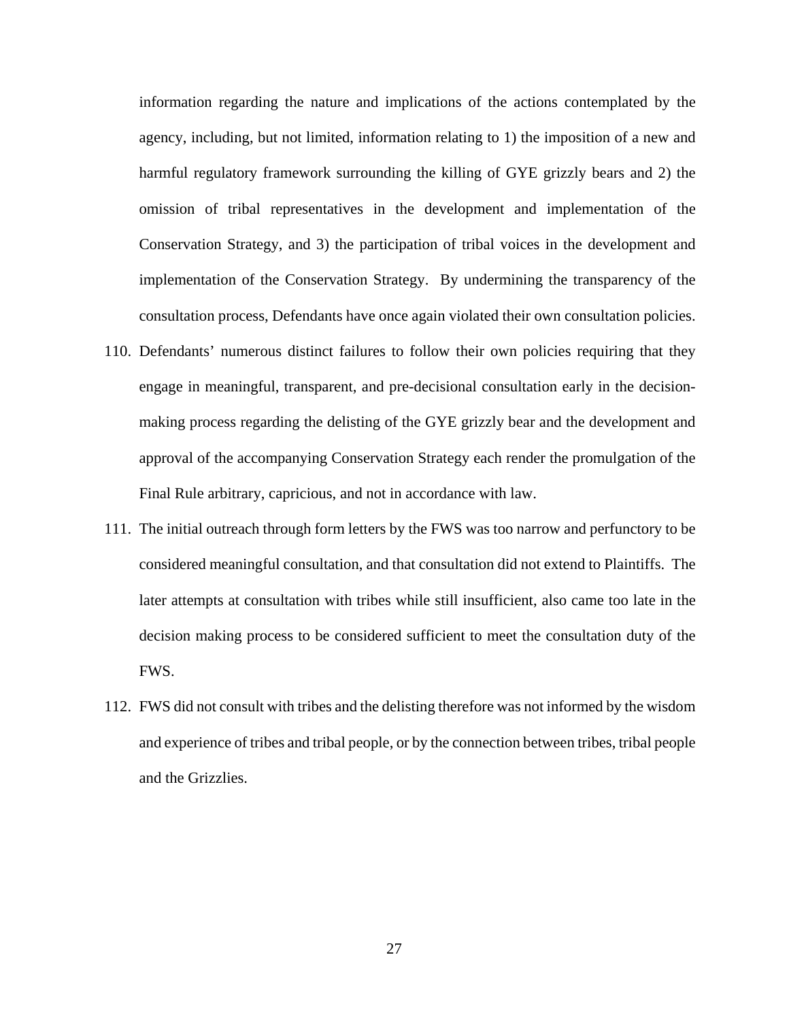information regarding the nature and implications of the actions contemplated by the agency, including, but not limited, information relating to 1) the imposition of a new and harmful regulatory framework surrounding the killing of GYE grizzly bears and 2) the omission of tribal representatives in the development and implementation of the Conservation Strategy, and 3) the participation of tribal voices in the development and implementation of the Conservation Strategy. By undermining the transparency of the consultation process, Defendants have once again violated their own consultation policies.

- 110. Defendants' numerous distinct failures to follow their own policies requiring that they engage in meaningful, transparent, and pre-decisional consultation early in the decisionmaking process regarding the delisting of the GYE grizzly bear and the development and approval of the accompanying Conservation Strategy each render the promulgation of the Final Rule arbitrary, capricious, and not in accordance with law.
- 111. The initial outreach through form letters by the FWS was too narrow and perfunctory to be considered meaningful consultation, and that consultation did not extend to Plaintiffs. The later attempts at consultation with tribes while still insufficient, also came too late in the decision making process to be considered sufficient to meet the consultation duty of the FWS.
- 112. FWS did not consult with tribes and the delisting therefore was not informed by the wisdom and experience of tribes and tribal people, or by the connection between tribes, tribal people and the Grizzlies.

27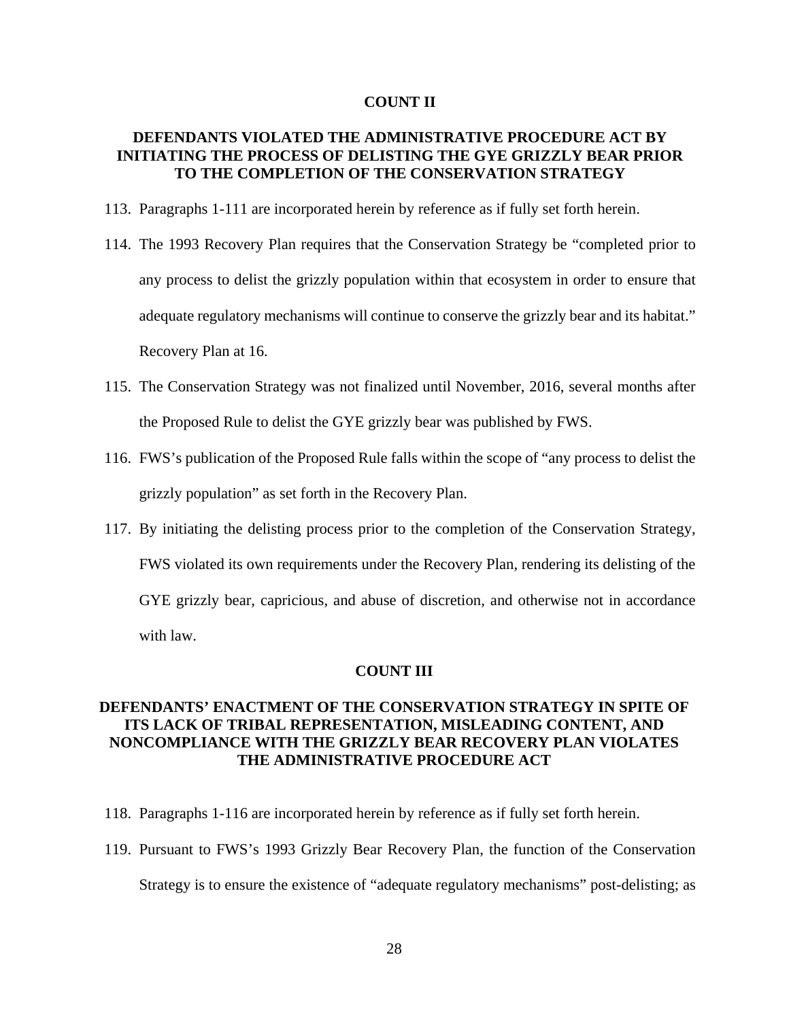### **COUNT II**

# **DEFENDANTS VIOLATED THE ADMINISTRATIVE PROCEDURE ACT BY INITIATING THE PROCESS OF DELISTING THE GYE GRIZZLY BEAR PRIOR TO THE COMPLETION OF THE CONSERVATION STRATEGY**

- 113. Paragraphs 1-111 are incorporated herein by reference as if fully set forth herein.
- 114. The 1993 Recovery Plan requires that the Conservation Strategy be "completed prior to any process to delist the grizzly population within that ecosystem in order to ensure that adequate regulatory mechanisms will continue to conserve the grizzly bear and its habitat." Recovery Plan at 16.
- 115. The Conservation Strategy was not finalized until November, 2016, several months after the Proposed Rule to delist the GYE grizzly bear was published by FWS.
- 116. FWS's publication of the Proposed Rule falls within the scope of "any process to delist the grizzly population" as set forth in the Recovery Plan.
- 117. By initiating the delisting process prior to the completion of the Conservation Strategy, FWS violated its own requirements under the Recovery Plan, rendering its delisting of the GYE grizzly bear, capricious, and abuse of discretion, and otherwise not in accordance with law.

### **COUNT III**

# **DEFENDANTS' ENACTMENT OF THE CONSERVATION STRATEGY IN SPITE OF ITS LACK OF TRIBAL REPRESENTATION, MISLEADING CONTENT, AND NONCOMPLIANCE WITH THE GRIZZLY BEAR RECOVERY PLAN VIOLATES THE ADMINISTRATIVE PROCEDURE ACT**

- 118. Paragraphs 1-116 are incorporated herein by reference as if fully set forth herein.
- 119. Pursuant to FWS's 1993 Grizzly Bear Recovery Plan, the function of the Conservation Strategy is to ensure the existence of "adequate regulatory mechanisms" post-delisting; as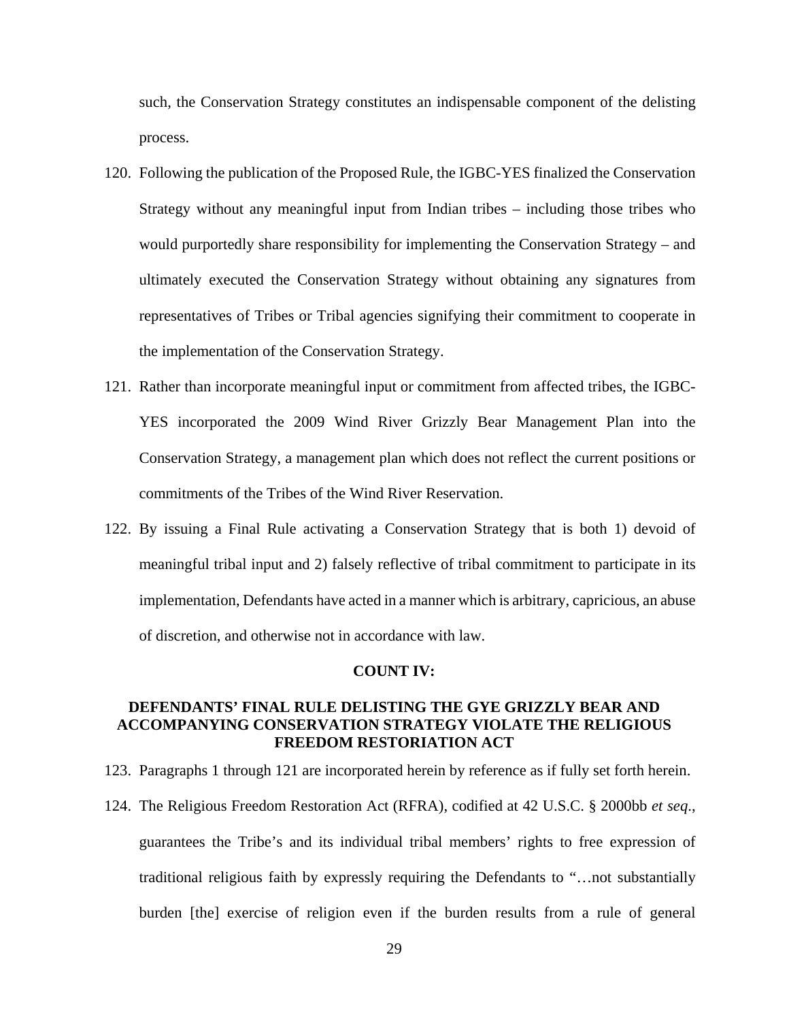such, the Conservation Strategy constitutes an indispensable component of the delisting process.

- 120. Following the publication of the Proposed Rule, the IGBC-YES finalized the Conservation Strategy without any meaningful input from Indian tribes – including those tribes who would purportedly share responsibility for implementing the Conservation Strategy – and ultimately executed the Conservation Strategy without obtaining any signatures from representatives of Tribes or Tribal agencies signifying their commitment to cooperate in the implementation of the Conservation Strategy.
- 121. Rather than incorporate meaningful input or commitment from affected tribes, the IGBC-YES incorporated the 2009 Wind River Grizzly Bear Management Plan into the Conservation Strategy, a management plan which does not reflect the current positions or commitments of the Tribes of the Wind River Reservation.
- 122. By issuing a Final Rule activating a Conservation Strategy that is both 1) devoid of meaningful tribal input and 2) falsely reflective of tribal commitment to participate in its implementation, Defendants have acted in a manner which is arbitrary, capricious, an abuse of discretion, and otherwise not in accordance with law.

### **COUNT IV:**

## **DEFENDANTS' FINAL RULE DELISTING THE GYE GRIZZLY BEAR AND ACCOMPANYING CONSERVATION STRATEGY VIOLATE THE RELIGIOUS FREEDOM RESTORIATION ACT**

- 123. Paragraphs 1 through 121 are incorporated herein by reference as if fully set forth herein.
- 124. The Religious Freedom Restoration Act (RFRA), codified at 42 U.S.C. § 2000bb *et seq*., guarantees the Tribe's and its individual tribal members' rights to free expression of traditional religious faith by expressly requiring the Defendants to "…not substantially burden [the] exercise of religion even if the burden results from a rule of general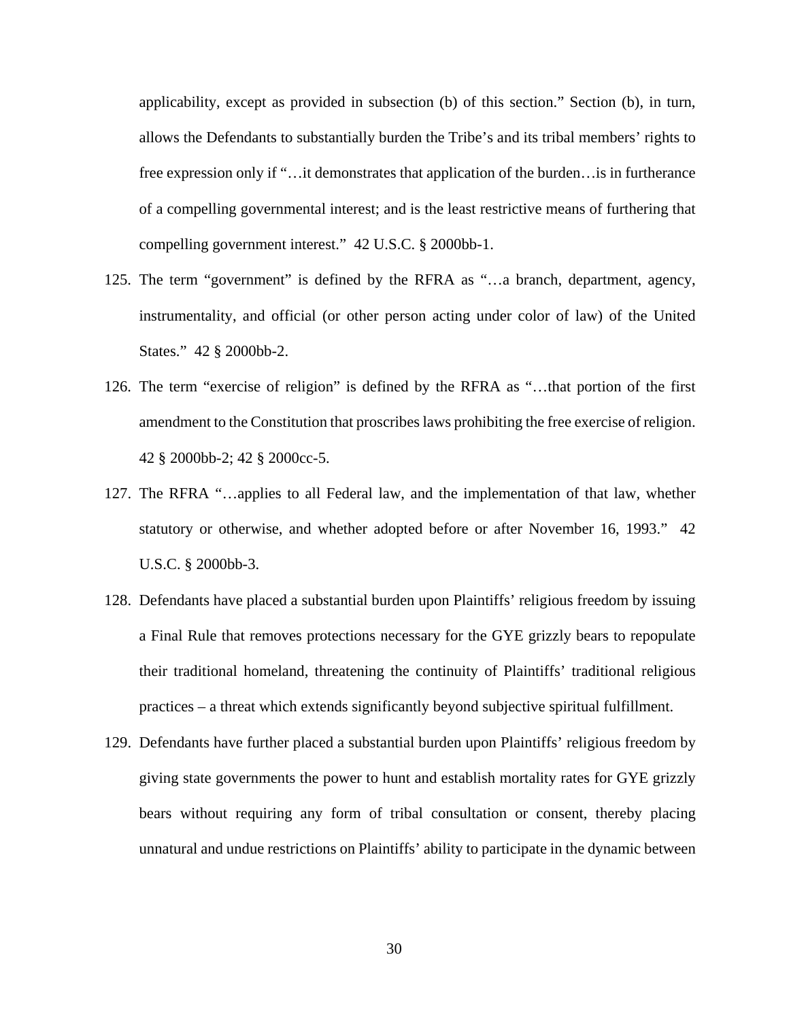applicability, except as provided in subsection (b) of this section." Section (b), in turn, allows the Defendants to substantially burden the Tribe's and its tribal members' rights to free expression only if "... it demonstrates that application of the burden... is in furtherance of a compelling governmental interest; and is the least restrictive means of furthering that compelling government interest." 42 U.S.C. § 2000bb-1.

- 125. The term "government" is defined by the RFRA as "…a branch, department, agency, instrumentality, and official (or other person acting under color of law) of the United States." 42 § 2000bb-2.
- 126. The term "exercise of religion" is defined by the RFRA as "…that portion of the first amendment to the Constitution that proscribes laws prohibiting the free exercise of religion. 42 § 2000bb-2; 42 § 2000cc-5.
- 127. The RFRA "…applies to all Federal law, and the implementation of that law, whether statutory or otherwise, and whether adopted before or after November 16, 1993." 42 U.S.C. § 2000bb-3.
- 128. Defendants have placed a substantial burden upon Plaintiffs' religious freedom by issuing a Final Rule that removes protections necessary for the GYE grizzly bears to repopulate their traditional homeland, threatening the continuity of Plaintiffs' traditional religious practices – a threat which extends significantly beyond subjective spiritual fulfillment.
- 129. Defendants have further placed a substantial burden upon Plaintiffs' religious freedom by giving state governments the power to hunt and establish mortality rates for GYE grizzly bears without requiring any form of tribal consultation or consent, thereby placing unnatural and undue restrictions on Plaintiffs' ability to participate in the dynamic between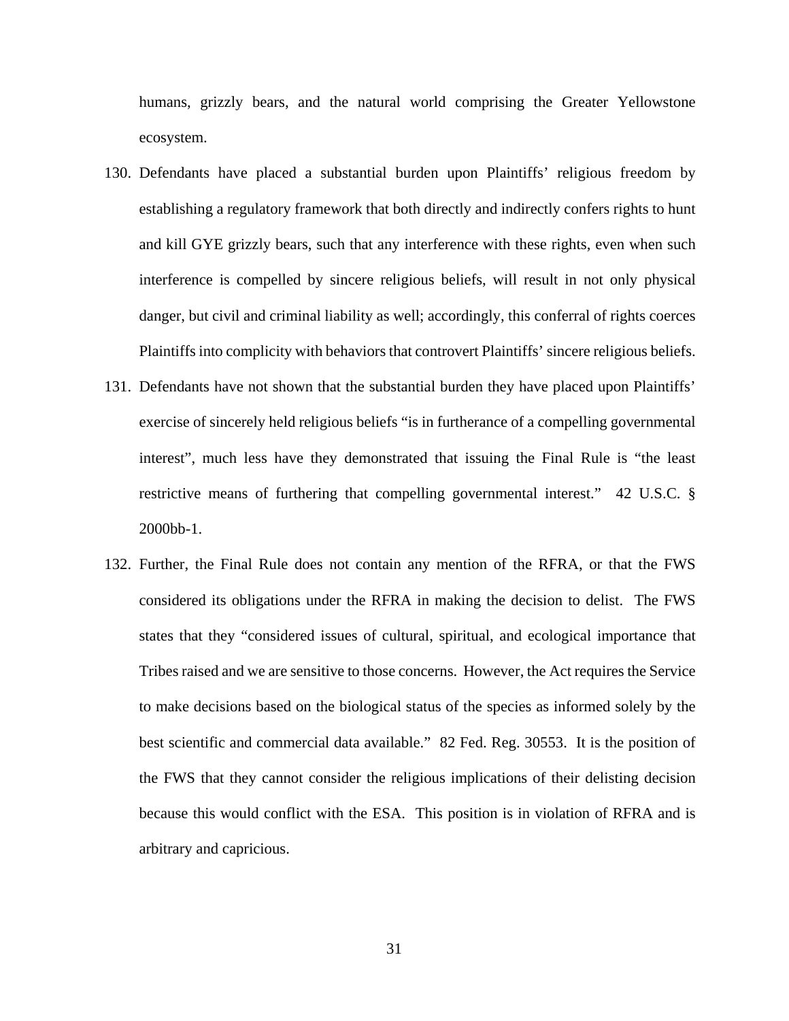humans, grizzly bears, and the natural world comprising the Greater Yellowstone ecosystem.

- 130. Defendants have placed a substantial burden upon Plaintiffs' religious freedom by establishing a regulatory framework that both directly and indirectly confers rights to hunt and kill GYE grizzly bears, such that any interference with these rights, even when such interference is compelled by sincere religious beliefs, will result in not only physical danger, but civil and criminal liability as well; accordingly, this conferral of rights coerces Plaintiffs into complicity with behaviors that controvert Plaintiffs' sincere religious beliefs.
- 131. Defendants have not shown that the substantial burden they have placed upon Plaintiffs' exercise of sincerely held religious beliefs "is in furtherance of a compelling governmental interest", much less have they demonstrated that issuing the Final Rule is "the least restrictive means of furthering that compelling governmental interest." 42 U.S.C. § 2000bb-1.
- 132. Further, the Final Rule does not contain any mention of the RFRA, or that the FWS considered its obligations under the RFRA in making the decision to delist. The FWS states that they "considered issues of cultural, spiritual, and ecological importance that Tribes raised and we are sensitive to those concerns. However, the Act requires the Service to make decisions based on the biological status of the species as informed solely by the best scientific and commercial data available." 82 Fed. Reg. 30553. It is the position of the FWS that they cannot consider the religious implications of their delisting decision because this would conflict with the ESA. This position is in violation of RFRA and is arbitrary and capricious.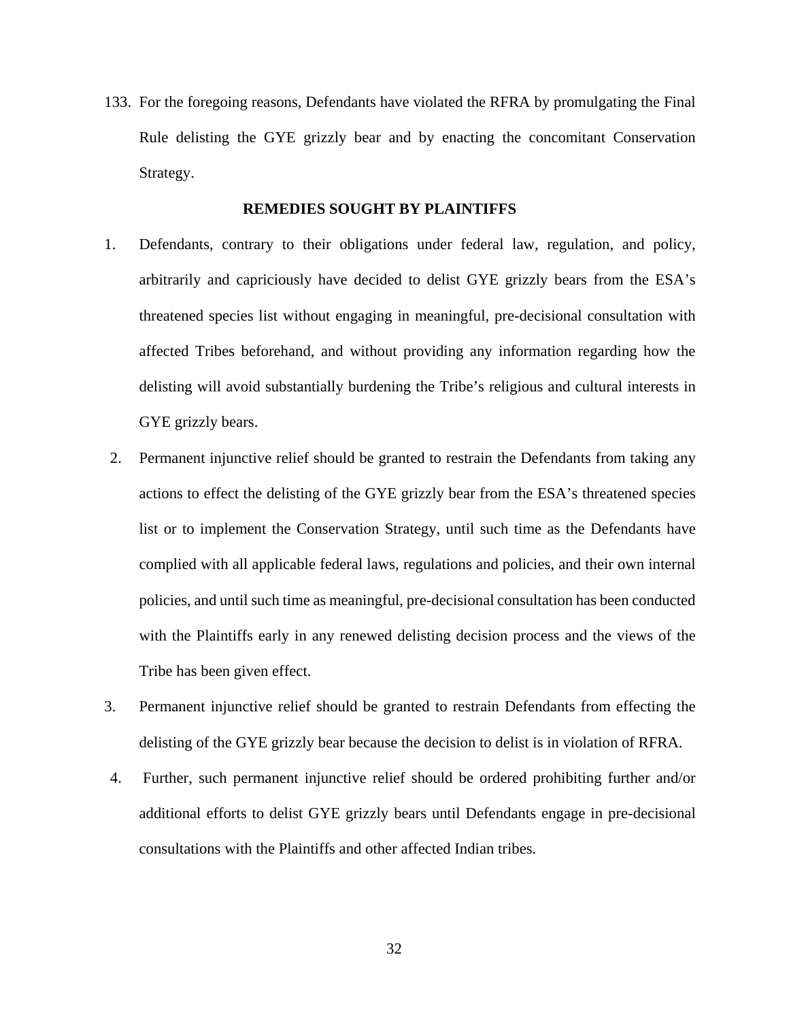133. For the foregoing reasons, Defendants have violated the RFRA by promulgating the Final Rule delisting the GYE grizzly bear and by enacting the concomitant Conservation Strategy.

### **REMEDIES SOUGHT BY PLAINTIFFS**

- 1. Defendants, contrary to their obligations under federal law, regulation, and policy, arbitrarily and capriciously have decided to delist GYE grizzly bears from the ESA's threatened species list without engaging in meaningful, pre-decisional consultation with affected Tribes beforehand, and without providing any information regarding how the delisting will avoid substantially burdening the Tribe's religious and cultural interests in GYE grizzly bears.
- 2. Permanent injunctive relief should be granted to restrain the Defendants from taking any actions to effect the delisting of the GYE grizzly bear from the ESA's threatened species list or to implement the Conservation Strategy, until such time as the Defendants have complied with all applicable federal laws, regulations and policies, and their own internal policies, and until such time as meaningful, pre-decisional consultation has been conducted with the Plaintiffs early in any renewed delisting decision process and the views of the Tribe has been given effect.
- 3. Permanent injunctive relief should be granted to restrain Defendants from effecting the delisting of the GYE grizzly bear because the decision to delist is in violation of RFRA.
- 4. Further, such permanent injunctive relief should be ordered prohibiting further and/or additional efforts to delist GYE grizzly bears until Defendants engage in pre-decisional consultations with the Plaintiffs and other affected Indian tribes.

32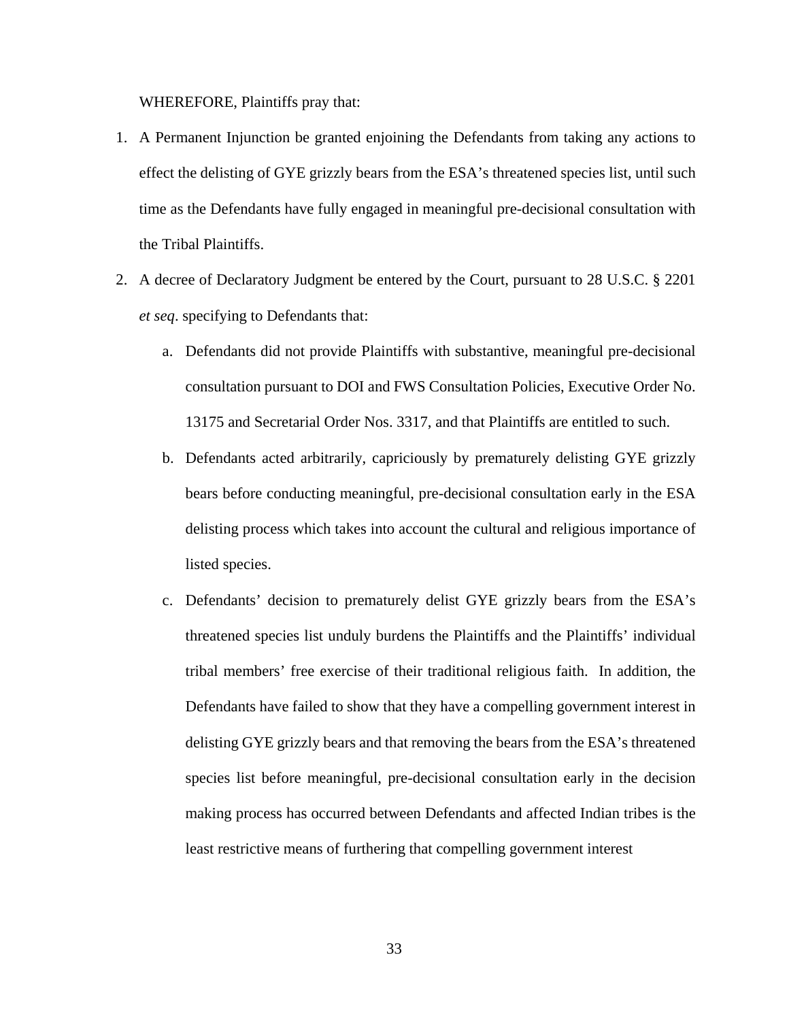WHEREFORE, Plaintiffs pray that:

- 1. A Permanent Injunction be granted enjoining the Defendants from taking any actions to effect the delisting of GYE grizzly bears from the ESA's threatened species list, until such time as the Defendants have fully engaged in meaningful pre-decisional consultation with the Tribal Plaintiffs.
- 2. A decree of Declaratory Judgment be entered by the Court, pursuant to 28 U.S.C. § 2201 *et seq*. specifying to Defendants that:
	- a. Defendants did not provide Plaintiffs with substantive, meaningful pre-decisional consultation pursuant to DOI and FWS Consultation Policies, Executive Order No. 13175 and Secretarial Order Nos. 3317, and that Plaintiffs are entitled to such.
	- b. Defendants acted arbitrarily, capriciously by prematurely delisting GYE grizzly bears before conducting meaningful, pre-decisional consultation early in the ESA delisting process which takes into account the cultural and religious importance of listed species.
	- c. Defendants' decision to prematurely delist GYE grizzly bears from the ESA's threatened species list unduly burdens the Plaintiffs and the Plaintiffs' individual tribal members' free exercise of their traditional religious faith. In addition, the Defendants have failed to show that they have a compelling government interest in delisting GYE grizzly bears and that removing the bears from the ESA's threatened species list before meaningful, pre-decisional consultation early in the decision making process has occurred between Defendants and affected Indian tribes is the least restrictive means of furthering that compelling government interest